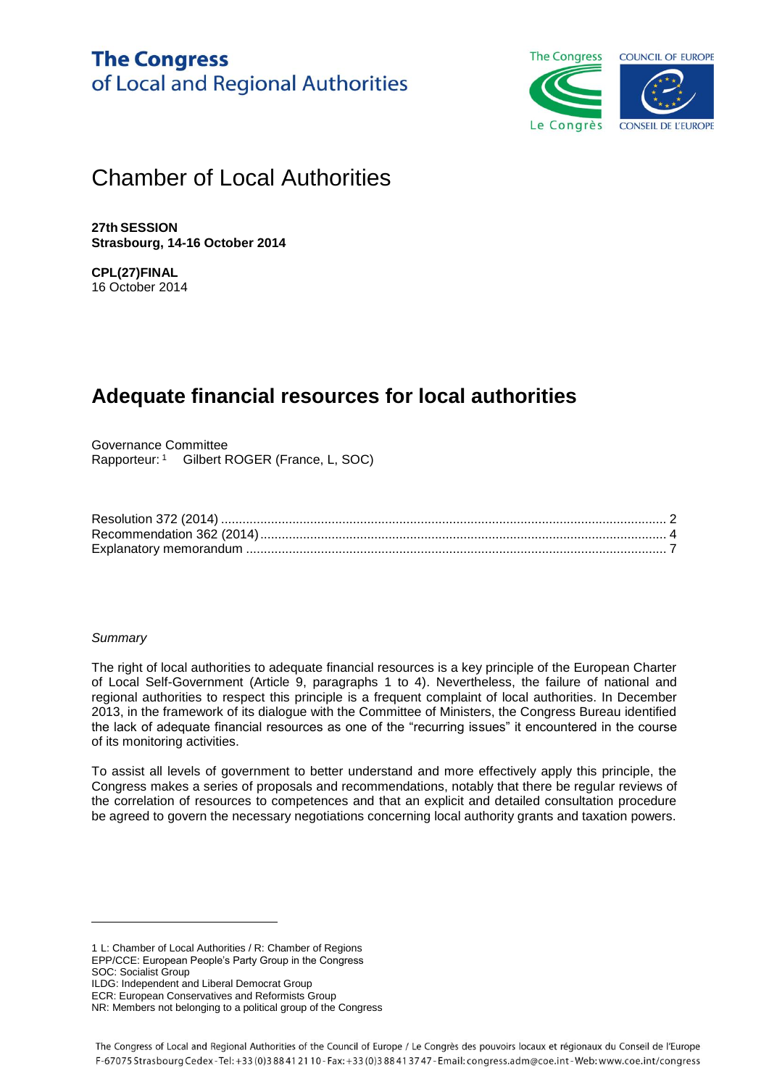

# Chamber of Local Authorities

**27th SESSION Strasbourg, 14-16 October 2014**

**CPL(27)FINAL** 16 October 2014

# **Adequate financial resources for local authorities**

Governance Committee Rapporteur: <sup>1</sup> Gilbert ROGER (France, L, SOC)

#### *Summary*

The right of local authorities to adequate financial resources is a key principle of the European Charter of Local Self-Government (Article 9, paragraphs 1 to 4). Nevertheless, the failure of national and regional authorities to respect this principle is a frequent complaint of local authorities. In December 2013, in the framework of its dialogue with the Committee of Ministers, the Congress Bureau identified the lack of adequate financial resources as one of the "recurring issues" it encountered in the course of its monitoring activities.

To assist all levels of government to better understand and more effectively apply this principle, the Congress makes a series of proposals and recommendations, notably that there be regular reviews of the correlation of resources to competences and that an explicit and detailed consultation procedure be agreed to govern the necessary negotiations concerning local authority grants and taxation powers.

SOC: Socialist Group

l

<sup>1</sup> L: Chamber of Local Authorities / R: Chamber of Regions

EPP/CCE: European People's Party Group in the Congress

ILDG: Independent and Liberal Democrat Group ECR: European Conservatives and Reformists Group

NR: Members not belonging to a political group of the Congress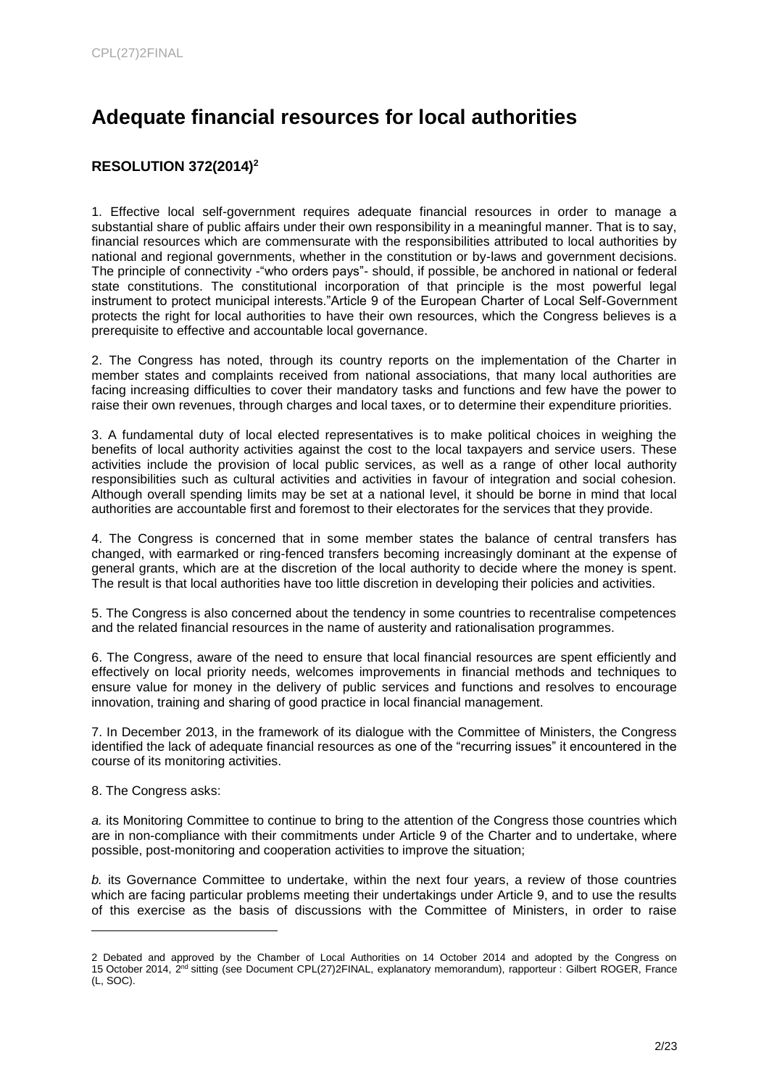# <span id="page-1-0"></span>**Adequate financial resources for local authorities**

### **RESOLUTION 372(2014)<sup>2</sup>**

1. Effective local self-government requires adequate financial resources in order to manage a substantial share of public affairs under their own responsibility in a meaningful manner. That is to say, financial resources which are commensurate with the responsibilities attributed to local authorities by national and regional governments, whether in the constitution or by-laws and government decisions. The principle of connectivity -"who orders pays"- should, if possible, be anchored in national or federal state constitutions. The constitutional incorporation of that principle is the most powerful legal instrument to protect municipal interests."Article 9 of the European Charter of Local Self-Government protects the right for local authorities to have their own resources, which the Congress believes is a prerequisite to effective and accountable local governance.

2. The Congress has noted, through its country reports on the implementation of the Charter in member states and complaints received from national associations, that many local authorities are facing increasing difficulties to cover their mandatory tasks and functions and few have the power to raise their own revenues, through charges and local taxes, or to determine their expenditure priorities.

3. A fundamental duty of local elected representatives is to make political choices in weighing the benefits of local authority activities against the cost to the local taxpayers and service users. These activities include the provision of local public services, as well as a range of other local authority responsibilities such as cultural activities and activities in favour of integration and social cohesion. Although overall spending limits may be set at a national level, it should be borne in mind that local authorities are accountable first and foremost to their electorates for the services that they provide.

4. The Congress is concerned that in some member states the balance of central transfers has changed, with earmarked or ring-fenced transfers becoming increasingly dominant at the expense of general grants, which are at the discretion of the local authority to decide where the money is spent. The result is that local authorities have too little discretion in developing their policies and activities.

5. The Congress is also concerned about the tendency in some countries to recentralise competences and the related financial resources in the name of austerity and rationalisation programmes.

6. The Congress, aware of the need to ensure that local financial resources are spent efficiently and effectively on local priority needs, welcomes improvements in financial methods and techniques to ensure value for money in the delivery of public services and functions and resolves to encourage innovation, training and sharing of good practice in local financial management.

7. In December 2013, in the framework of its dialogue with the Committee of Ministers, the Congress identified the lack of adequate financial resources as one of the "recurring issues" it encountered in the course of its monitoring activities.

8. The Congress asks:

l

*a.* its Monitoring Committee to continue to bring to the attention of the Congress those countries which are in non-compliance with their commitments under Article 9 of the Charter and to undertake, where possible, post-monitoring and cooperation activities to improve the situation;

*b.* its Governance Committee to undertake, within the next four years, a review of those countries which are facing particular problems meeting their undertakings under Article 9, and to use the results of this exercise as the basis of discussions with the Committee of Ministers, in order to raise

<sup>2</sup> Debated and approved by the Chamber of Local Authorities on 14 October 2014 and adopted by the Congress on 15 October 2014, 2nd sitting (see Document CPL(27)2FINAL, explanatory memorandum), rapporteur : Gilbert ROGER, France (L, SOC).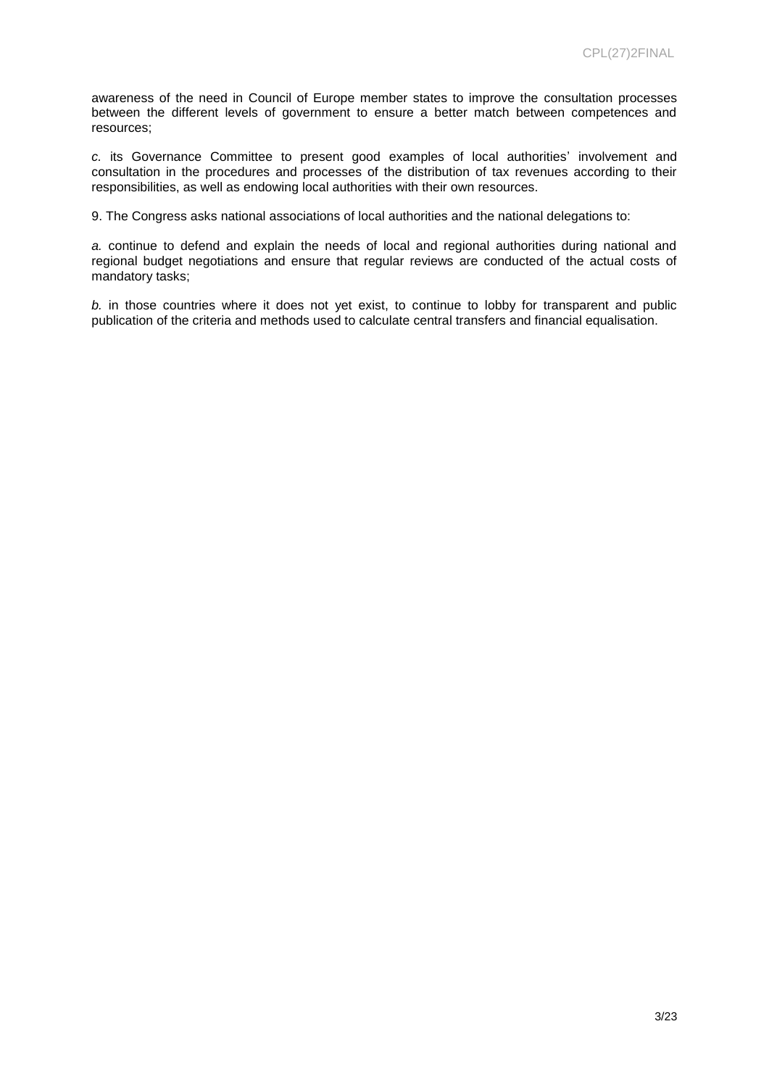awareness of the need in Council of Europe member states to improve the consultation processes between the different levels of government to ensure a better match between competences and resources;

*c.* its Governance Committee to present good examples of local authorities' involvement and consultation in the procedures and processes of the distribution of tax revenues according to their responsibilities, as well as endowing local authorities with their own resources.

9. The Congress asks national associations of local authorities and the national delegations to:

*a.* continue to defend and explain the needs of local and regional authorities during national and regional budget negotiations and ensure that regular reviews are conducted of the actual costs of mandatory tasks;

*b.* in those countries where it does not yet exist, to continue to lobby for transparent and public publication of the criteria and methods used to calculate central transfers and financial equalisation.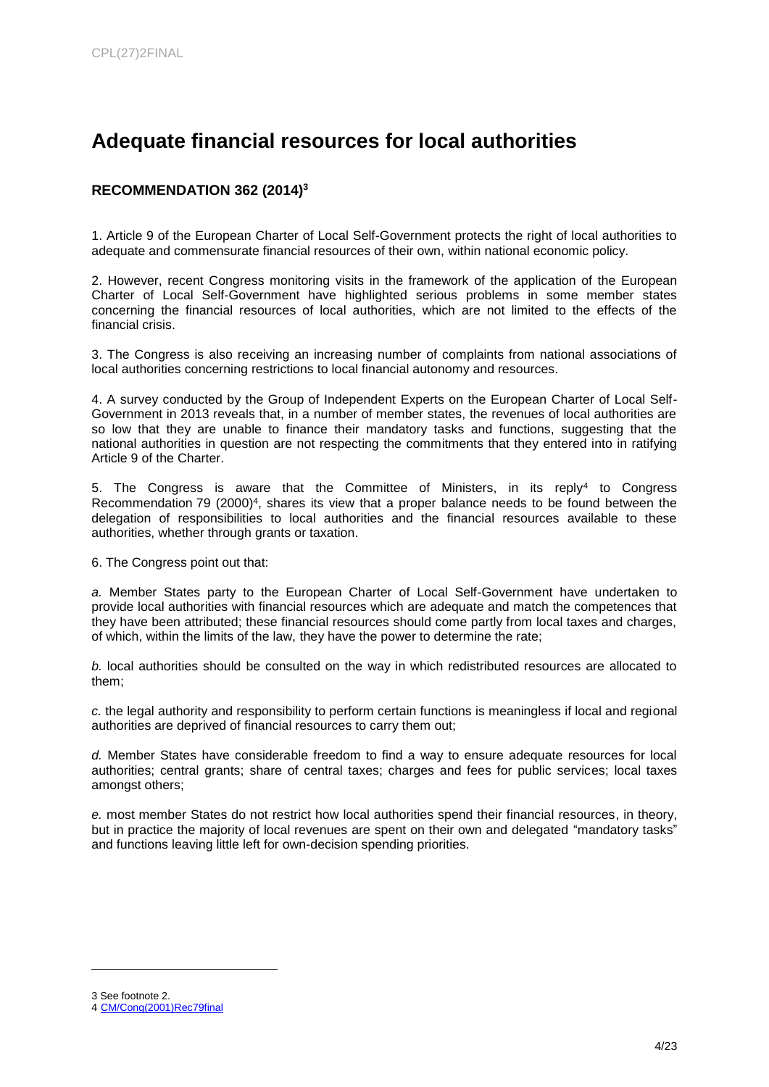## <span id="page-3-0"></span>**Adequate financial resources for local authorities**

## **RECOMMENDATION 362 (2014)<sup>3</sup>**

1. Article 9 of the European Charter of Local Self-Government protects the right of local authorities to adequate and commensurate financial resources of their own, within national economic policy.

2. However, recent Congress monitoring visits in the framework of the application of the European Charter of Local Self-Government have highlighted serious problems in some member states concerning the financial resources of local authorities, which are not limited to the effects of the financial crisis.

3. The Congress is also receiving an increasing number of complaints from national associations of local authorities concerning restrictions to local financial autonomy and resources.

4. A survey conducted by the Group of Independent Experts on the European Charter of Local Self-Government in 2013 reveals that, in a number of member states, the revenues of local authorities are so low that they are unable to finance their mandatory tasks and functions, suggesting that the national authorities in question are not respecting the commitments that they entered into in ratifying Article 9 of the Charter.

5. The Congress is aware that the Committee of Ministers, in its reply<sup>4</sup> to Congress Recommendation 79 (2000)<sup>4</sup>, shares its view that a proper balance needs to be found between the delegation of responsibilities to local authorities and the financial resources available to these authorities, whether through grants or taxation.

6. The Congress point out that:

*a.* Member States party to the European Charter of Local Self-Government have undertaken to provide local authorities with financial resources which are adequate and match the competences that they have been attributed; these financial resources should come partly from local taxes and charges, of which, within the limits of the law, they have the power to determine the rate;

*b.* local authorities should be consulted on the way in which redistributed resources are allocated to them;

*c.* the legal authority and responsibility to perform certain functions is meaningless if local and regional authorities are deprived of financial resources to carry them out;

*d.* Member States have considerable freedom to find a way to ensure adequate resources for local authorities; central grants; share of central taxes; charges and fees for public services; local taxes amongst others;

*e.* most member States do not restrict how local authorities spend their financial resources, in theory, but in practice the majority of local revenues are spent on their own and delegated "mandatory tasks" and functions leaving little left for own-decision spending priorities.

l

<sup>3</sup> See footnote 2.

<sup>4</sup> [CM/Cong\(2001\)Rec79final](https://wcd.coe.int/ViewDoc.jsp?Ref=CM/Cong(2001)Rec79&Language=lanEnglish&Ver=final&Site=CM&BackColorInternet=C3C3C3&BackColorIntranet=EDB021&BackColorLogged=F5D383)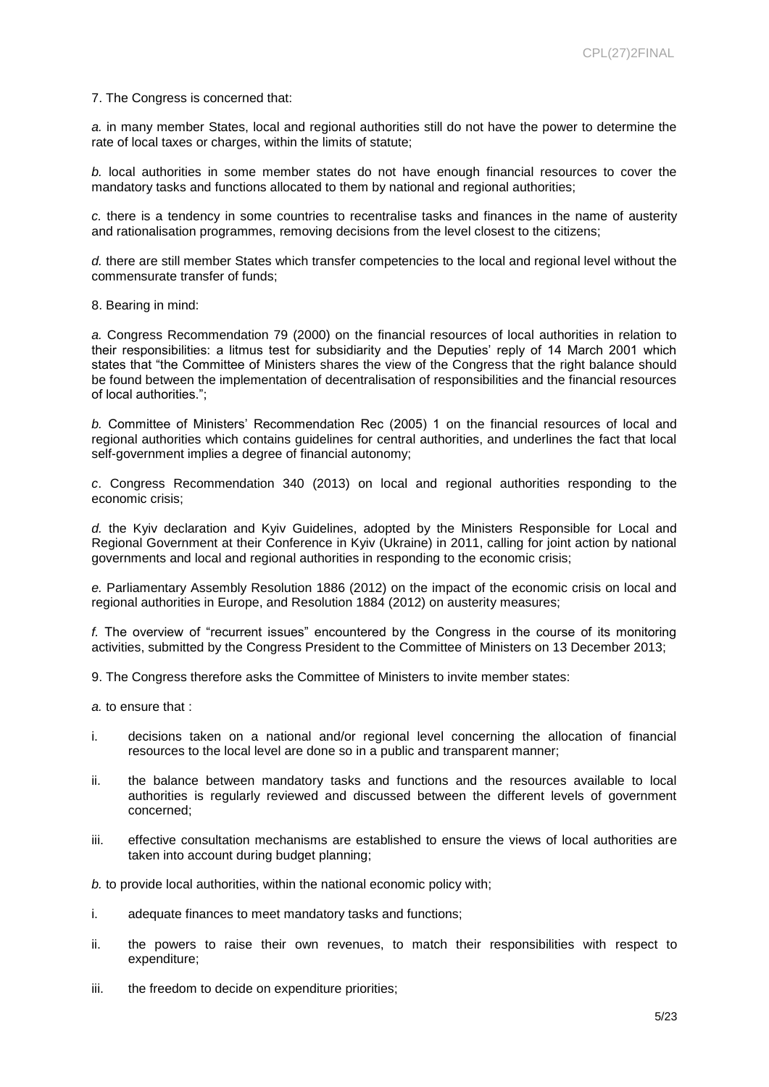7. The Congress is concerned that:

*a.* in many member States, local and regional authorities still do not have the power to determine the rate of local taxes or charges, within the limits of statute;

*b.* local authorities in some member states do not have enough financial resources to cover the mandatory tasks and functions allocated to them by national and regional authorities;

*c.* there is a tendency in some countries to recentralise tasks and finances in the name of austerity and rationalisation programmes, removing decisions from the level closest to the citizens;

*d.* there are still member States which transfer competencies to the local and regional level without the commensurate transfer of funds;

8. Bearing in mind:

*a.* Congress Recommendation 79 (2000) on the financial resources of local authorities in relation to their responsibilities: a litmus test for subsidiarity and the Deputies' reply of 14 March 2001 which states that "the Committee of Ministers shares the view of the Congress that the right balance should be found between the implementation of decentralisation of responsibilities and the financial resources of local authorities.";

*b.* Committee of Ministers' Recommendation Rec (2005) 1 on the financial resources of local and regional authorities which contains guidelines for central authorities, and underlines the fact that local self-government implies a degree of financial autonomy;

*c*. Congress Recommendation 340 (2013) on local and regional authorities responding to the economic crisis;

*d.* the Kyiv declaration and Kyiv Guidelines, adopted by the Ministers Responsible for Local and Regional Government at their Conference in Kyiv (Ukraine) in 2011, calling for joint action by national governments and local and regional authorities in responding to the economic crisis;

*e.* Parliamentary Assembly Resolution 1886 (2012) on the impact of the economic crisis on local and regional authorities in Europe, and Resolution 1884 (2012) on austerity measures;

*f.* The overview of "recurrent issues" encountered by the Congress in the course of its monitoring activities, submitted by the Congress President to the Committee of Ministers on 13 December 2013;

9. The Congress therefore asks the Committee of Ministers to invite member states:

*a.* to ensure that :

- i. decisions taken on a national and/or regional level concerning the allocation of financial resources to the local level are done so in a public and transparent manner;
- ii. the balance between mandatory tasks and functions and the resources available to local authorities is regularly reviewed and discussed between the different levels of government concerned;
- iii. effective consultation mechanisms are established to ensure the views of local authorities are taken into account during budget planning;

*b.* to provide local authorities, within the national economic policy with;

- i. adequate finances to meet mandatory tasks and functions;
- ii. the powers to raise their own revenues, to match their responsibilities with respect to expenditure;
- iii. the freedom to decide on expenditure priorities;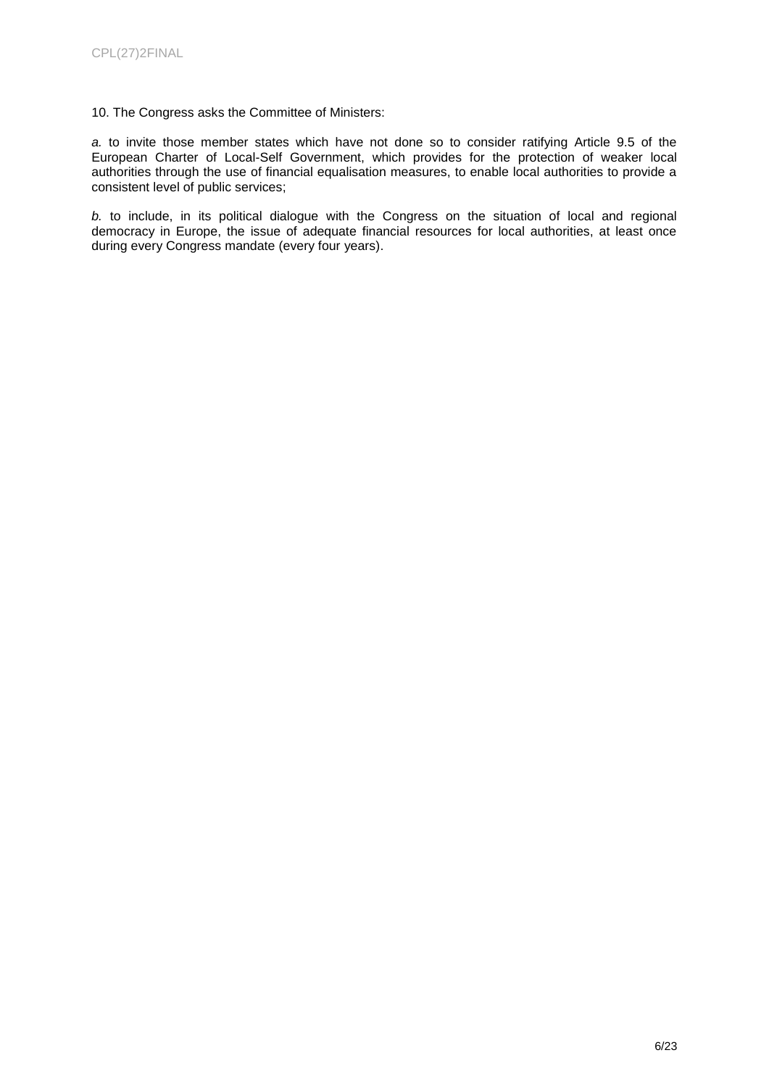#### 10. The Congress asks the Committee of Ministers:

*a.* to invite those member states which have not done so to consider ratifying Article 9.5 of the European Charter of Local-Self Government, which provides for the protection of weaker local authorities through the use of financial equalisation measures, to enable local authorities to provide a consistent level of public services;

*b.* to include, in its political dialogue with the Congress on the situation of local and regional democracy in Europe, the issue of adequate financial resources for local authorities, at least once during every Congress mandate (every four years).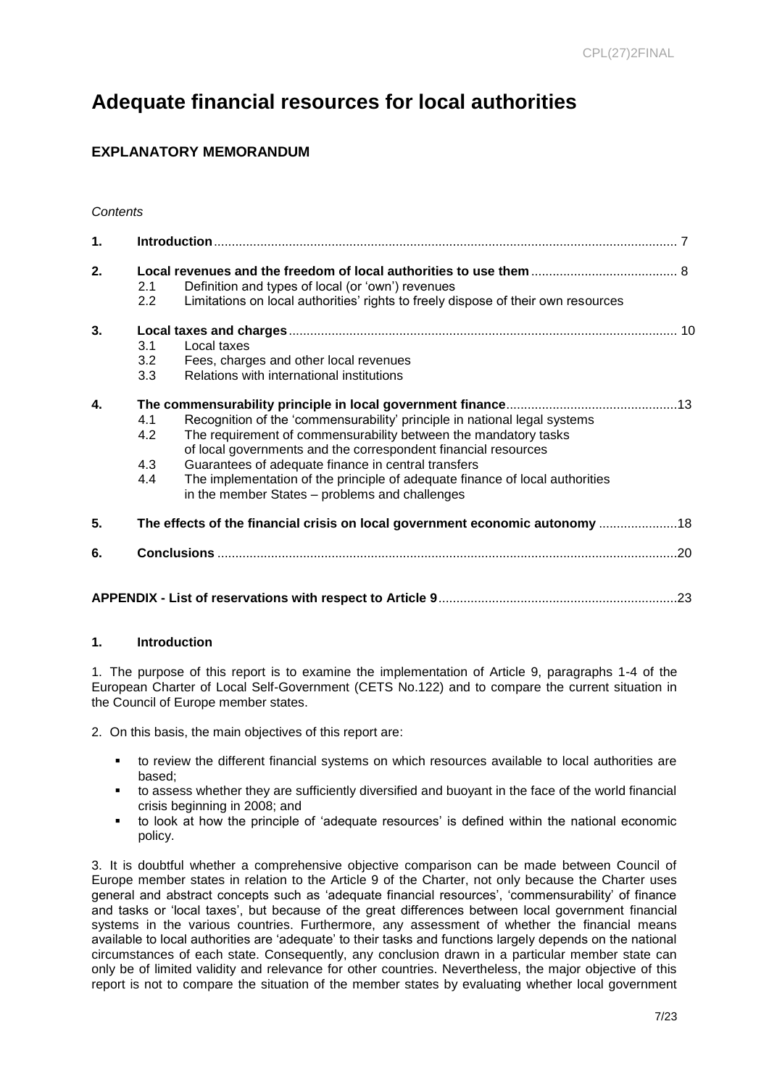## <span id="page-6-0"></span>**Adequate financial resources for local authorities**

## **EXPLANATORY MEMORANDUM**

| 1. |                  |                                                                                   |  |  |  |  |  |
|----|------------------|-----------------------------------------------------------------------------------|--|--|--|--|--|
| 2. |                  |                                                                                   |  |  |  |  |  |
|    | 2.1              | Definition and types of local (or 'own') revenues                                 |  |  |  |  |  |
|    | $2.2\phantom{0}$ | Limitations on local authorities' rights to freely dispose of their own resources |  |  |  |  |  |
| 3. |                  |                                                                                   |  |  |  |  |  |
|    | 3.1              | Local taxes                                                                       |  |  |  |  |  |
|    | 3.2              | Fees, charges and other local revenues                                            |  |  |  |  |  |
|    | 3.3              | Relations with international institutions                                         |  |  |  |  |  |
| 4. |                  |                                                                                   |  |  |  |  |  |
|    | 4.1              | Recognition of the 'commensurability' principle in national legal systems         |  |  |  |  |  |
|    | 4.2              | The requirement of commensurability between the mandatory tasks                   |  |  |  |  |  |
|    |                  | of local governments and the correspondent financial resources                    |  |  |  |  |  |
|    | 4.3              | Guarantees of adequate finance in central transfers                               |  |  |  |  |  |
|    | 4.4              | The implementation of the principle of adequate finance of local authorities      |  |  |  |  |  |
|    |                  | in the member States – problems and challenges                                    |  |  |  |  |  |
| 5. |                  | The effects of the financial crisis on local government economic autonomy 18      |  |  |  |  |  |
| 6. |                  |                                                                                   |  |  |  |  |  |
|    |                  |                                                                                   |  |  |  |  |  |
|    |                  |                                                                                   |  |  |  |  |  |

### **1. Introduction**

1. The purpose of this report is to examine the implementation of Article 9, paragraphs 1-4 of the European Charter of Local Self-Government (CETS No.122) and to compare the current situation in the Council of Europe member states.

2. On this basis, the main objectives of this report are:

- to review the different financial systems on which resources available to local authorities are based;
- to assess whether they are sufficiently diversified and buoyant in the face of the world financial crisis beginning in 2008; and
- to look at how the principle of 'adequate resources' is defined within the national economic policy.

3. It is doubtful whether a comprehensive objective comparison can be made between Council of Europe member states in relation to the Article 9 of the Charter, not only because the Charter uses general and abstract concepts such as 'adequate financial resources', 'commensurability' of finance and tasks or 'local taxes', but because of the great differences between local government financial systems in the various countries. Furthermore, any assessment of whether the financial means available to local authorities are 'adequate' to their tasks and functions largely depends on the national circumstances of each state. Consequently, any conclusion drawn in a particular member state can only be of limited validity and relevance for other countries. Nevertheless, the major objective of this report is not to compare the situation of the member states by evaluating whether local government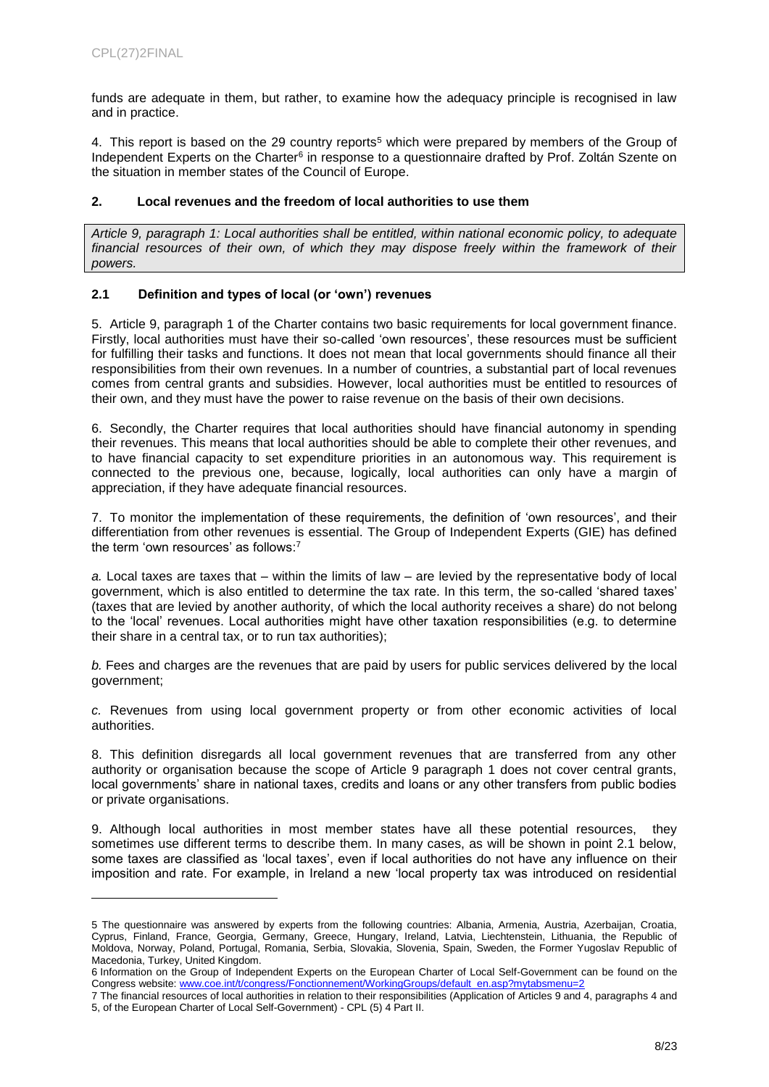l

funds are adequate in them, but rather, to examine how the adequacy principle is recognised in law and in practice.

4. This report is based on the 29 country reports<sup>5</sup> which were prepared by members of the Group of Independent Experts on the Charter<sup>6</sup> in response to a questionnaire drafted by Prof. Zoltán Szente on the situation in member states of the Council of Europe.

#### **2. Local revenues and the freedom of local authorities to use them**

*Article 9, paragraph 1: Local authorities shall be entitled, within national economic policy, to adequate*  financial resources of their own, of which they may dispose freely within the framework of their *powers.*

#### **2.1 Definition and types of local (or 'own') revenues**

5. Article 9, paragraph 1 of the Charter contains two basic requirements for local government finance. Firstly, local authorities must have their so-called 'own resources', these resources must be sufficient for fulfilling their tasks and functions. It does not mean that local governments should finance all their responsibilities from their own revenues. In a number of countries, a substantial part of local revenues comes from central grants and subsidies. However, local authorities must be entitled to resources of their own, and they must have the power to raise revenue on the basis of their own decisions.

6. Secondly, the Charter requires that local authorities should have financial autonomy in spending their revenues. This means that local authorities should be able to complete their other revenues, and to have financial capacity to set expenditure priorities in an autonomous way. This requirement is connected to the previous one, because, logically, local authorities can only have a margin of appreciation, if they have adequate financial resources.

7. To monitor the implementation of these requirements, the definition of 'own resources', and their differentiation from other revenues is essential. The Group of Independent Experts (GIE) has defined the term 'own resources' as follows: 7

*a.* Local taxes are taxes that – within the limits of law – are levied by the representative body of local government, which is also entitled to determine the tax rate. In this term, the so-called 'shared taxes' (taxes that are levied by another authority, of which the local authority receives a share) do not belong to the 'local' revenues. Local authorities might have other taxation responsibilities (e.g. to determine their share in a central tax, or to run tax authorities);

*b.* Fees and charges are the revenues that are paid by users for public services delivered by the local government;

*c.* Revenues from using local government property or from other economic activities of local authorities.

8. This definition disregards all local government revenues that are transferred from any other authority or organisation because the scope of Article 9 paragraph 1 does not cover central grants, local governments' share in national taxes, credits and loans or any other transfers from public bodies or private organisations.

9. Although local authorities in most member states have all these potential resources, they sometimes use different terms to describe them. In many cases, as will be shown in point 2.1 below, some taxes are classified as 'local taxes', even if local authorities do not have any influence on their imposition and rate. For example, in Ireland a new 'local property tax was introduced on residential

<sup>5</sup> The questionnaire was answered by experts from the following countries: Albania, Armenia, Austria, Azerbaijan, Croatia, Cyprus, Finland, France, Georgia, Germany, Greece, Hungary, Ireland, Latvia, Liechtenstein, Lithuania, the Republic of Moldova, Norway, Poland, Portugal, Romania, Serbia, Slovakia, Slovenia, Spain, Sweden, the Former Yugoslav Republic of Macedonia, Turkey, United Kingdom.

<sup>6</sup> Information on the Group of Independent Experts on the European Charter of Local Self-Government can be found on the Congress website: www.coe.int/t/congress/Fonctionnement/WorkingGroups/default\_en.asp?mytabsmenu=

<sup>7</sup> The financial resources of local authorities in relation to their responsibilities (Application of Articles 9 and 4, paragraphs 4 and 5, of the European Charter of Local Self-Government) - CPL (5) 4 Part II.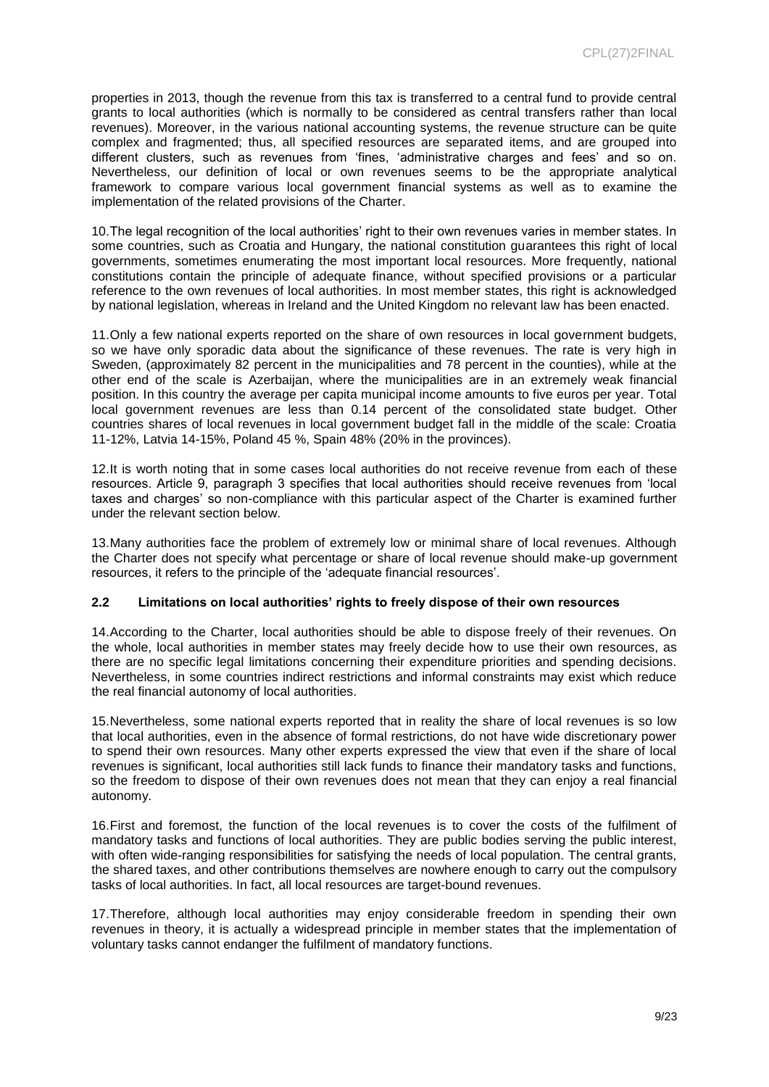properties in 2013, though the revenue from this tax is transferred to a central fund to provide central grants to local authorities (which is normally to be considered as central transfers rather than local revenues). Moreover, in the various national accounting systems, the revenue structure can be quite complex and fragmented; thus, all specified resources are separated items, and are grouped into different clusters, such as revenues from 'fines, 'administrative charges and fees' and so on. Nevertheless, our definition of local or own revenues seems to be the appropriate analytical framework to compare various local government financial systems as well as to examine the implementation of the related provisions of the Charter.

10.The legal recognition of the local authorities' right to their own revenues varies in member states. In some countries, such as Croatia and Hungary, the national constitution guarantees this right of local governments, sometimes enumerating the most important local resources. More frequently, national constitutions contain the principle of adequate finance, without specified provisions or a particular reference to the own revenues of local authorities. In most member states, this right is acknowledged by national legislation, whereas in Ireland and the United Kingdom no relevant law has been enacted.

11.Only a few national experts reported on the share of own resources in local government budgets, so we have only sporadic data about the significance of these revenues. The rate is very high in Sweden, (approximately 82 percent in the municipalities and 78 percent in the counties), while at the other end of the scale is Azerbaijan, where the municipalities are in an extremely weak financial position. In this country the average per capita municipal income amounts to five euros per year. Total local government revenues are less than 0.14 percent of the consolidated state budget. Other countries shares of local revenues in local government budget fall in the middle of the scale: Croatia 11-12%, Latvia 14-15%, Poland 45 %, Spain 48% (20% in the provinces).

12.It is worth noting that in some cases local authorities do not receive revenue from each of these resources. Article 9, paragraph 3 specifies that local authorities should receive revenues from 'local taxes and charges' so non-compliance with this particular aspect of the Charter is examined further under the relevant section below.

13.Many authorities face the problem of extremely low or minimal share of local revenues. Although the Charter does not specify what percentage or share of local revenue should make-up government resources, it refers to the principle of the 'adequate financial resources'.

#### **2.2 Limitations on local authorities' rights to freely dispose of their own resources**

14.According to the Charter, local authorities should be able to dispose freely of their revenues. On the whole, local authorities in member states may freely decide how to use their own resources, as there are no specific legal limitations concerning their expenditure priorities and spending decisions. Nevertheless, in some countries indirect restrictions and informal constraints may exist which reduce the real financial autonomy of local authorities.

15.Nevertheless, some national experts reported that in reality the share of local revenues is so low that local authorities, even in the absence of formal restrictions, do not have wide discretionary power to spend their own resources. Many other experts expressed the view that even if the share of local revenues is significant, local authorities still lack funds to finance their mandatory tasks and functions, so the freedom to dispose of their own revenues does not mean that they can enjoy a real financial autonomy.

16.First and foremost, the function of the local revenues is to cover the costs of the fulfilment of mandatory tasks and functions of local authorities. They are public bodies serving the public interest, with often wide-ranging responsibilities for satisfying the needs of local population. The central grants, the shared taxes, and other contributions themselves are nowhere enough to carry out the compulsory tasks of local authorities. In fact, all local resources are target-bound revenues.

17.Therefore, although local authorities may enjoy considerable freedom in spending their own revenues in theory, it is actually a widespread principle in member states that the implementation of voluntary tasks cannot endanger the fulfilment of mandatory functions.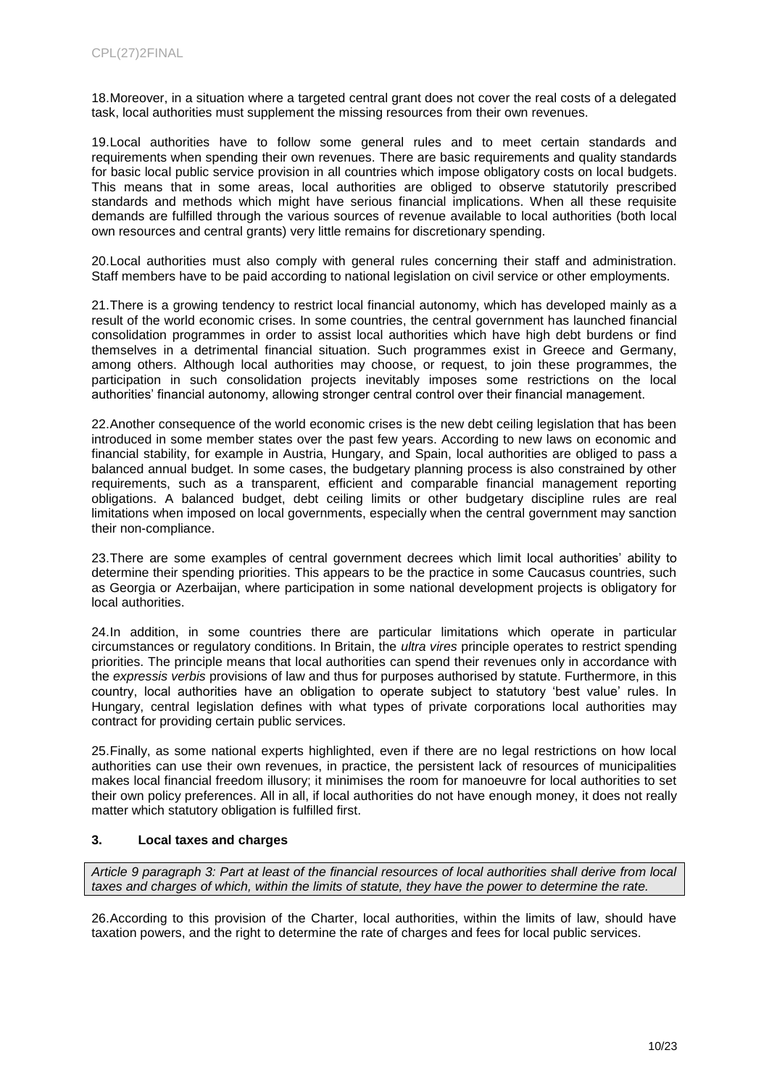18.Moreover, in a situation where a targeted central grant does not cover the real costs of a delegated task, local authorities must supplement the missing resources from their own revenues.

19.Local authorities have to follow some general rules and to meet certain standards and requirements when spending their own revenues. There are basic requirements and quality standards for basic local public service provision in all countries which impose obligatory costs on local budgets. This means that in some areas, local authorities are obliged to observe statutorily prescribed standards and methods which might have serious financial implications. When all these requisite demands are fulfilled through the various sources of revenue available to local authorities (both local own resources and central grants) very little remains for discretionary spending.

20.Local authorities must also comply with general rules concerning their staff and administration. Staff members have to be paid according to national legislation on civil service or other employments.

21.There is a growing tendency to restrict local financial autonomy, which has developed mainly as a result of the world economic crises. In some countries, the central government has launched financial consolidation programmes in order to assist local authorities which have high debt burdens or find themselves in a detrimental financial situation. Such programmes exist in Greece and Germany, among others. Although local authorities may choose, or request, to join these programmes, the participation in such consolidation projects inevitably imposes some restrictions on the local authorities' financial autonomy, allowing stronger central control over their financial management.

22.Another consequence of the world economic crises is the new debt ceiling legislation that has been introduced in some member states over the past few years. According to new laws on economic and financial stability, for example in Austria, Hungary, and Spain, local authorities are obliged to pass a balanced annual budget. In some cases, the budgetary planning process is also constrained by other requirements, such as a transparent, efficient and comparable financial management reporting obligations. A balanced budget, debt ceiling limits or other budgetary discipline rules are real limitations when imposed on local governments, especially when the central government may sanction their non-compliance.

23.There are some examples of central government decrees which limit local authorities' ability to determine their spending priorities. This appears to be the practice in some Caucasus countries, such as Georgia or Azerbaijan, where participation in some national development projects is obligatory for local authorities.

24.In addition, in some countries there are particular limitations which operate in particular circumstances or regulatory conditions. In Britain, the *ultra vires* principle operates to restrict spending priorities. The principle means that local authorities can spend their revenues only in accordance with the *expressis verbis* provisions of law and thus for purposes authorised by statute. Furthermore, in this country, local authorities have an obligation to operate subject to statutory 'best value' rules. In Hungary, central legislation defines with what types of private corporations local authorities may contract for providing certain public services.

25.Finally, as some national experts highlighted, even if there are no legal restrictions on how local authorities can use their own revenues, in practice, the persistent lack of resources of municipalities makes local financial freedom illusory; it minimises the room for manoeuvre for local authorities to set their own policy preferences. All in all, if local authorities do not have enough money, it does not really matter which statutory obligation is fulfilled first.

### **3. Local taxes and charges**

*Article 9 paragraph 3: Part at least of the financial resources of local authorities shall derive from local taxes and charges of which, within the limits of statute, they have the power to determine the rate.*

26.According to this provision of the Charter, local authorities, within the limits of law, should have taxation powers, and the right to determine the rate of charges and fees for local public services.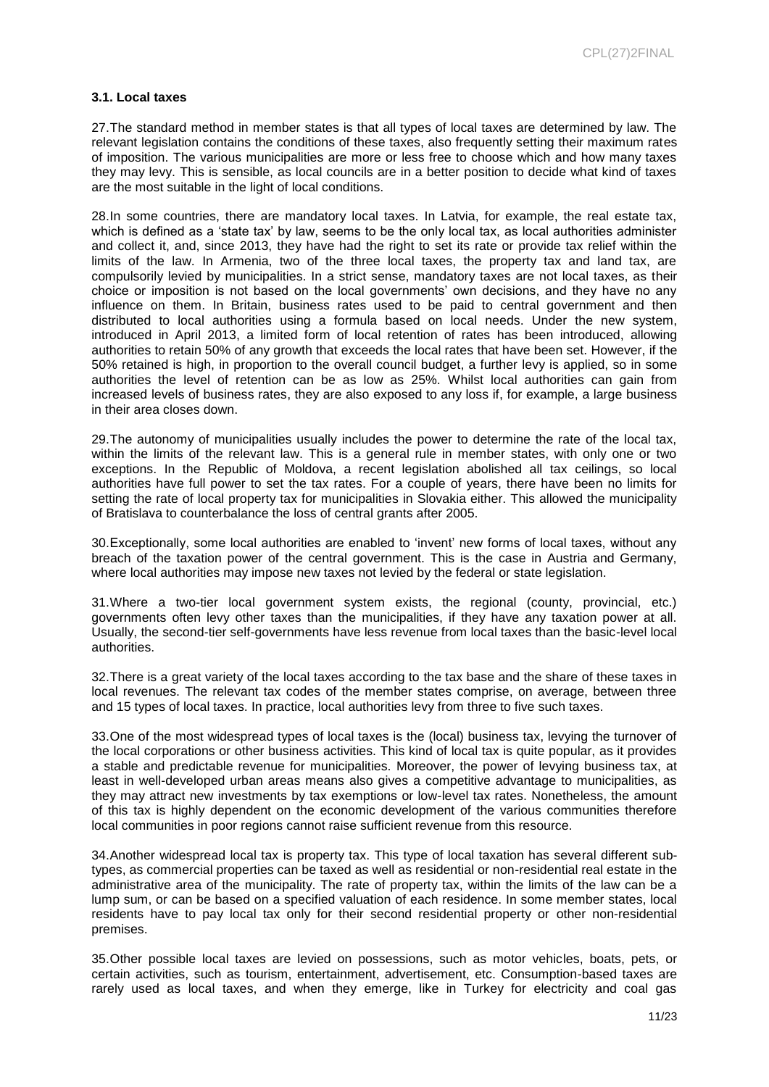#### **3.1. Local taxes**

27.The standard method in member states is that all types of local taxes are determined by law. The relevant legislation contains the conditions of these taxes, also frequently setting their maximum rates of imposition. The various municipalities are more or less free to choose which and how many taxes they may levy. This is sensible, as local councils are in a better position to decide what kind of taxes are the most suitable in the light of local conditions.

28.In some countries, there are mandatory local taxes. In Latvia, for example, the real estate tax, which is defined as a 'state tax' by law, seems to be the only local tax, as local authorities administer and collect it, and, since 2013, they have had the right to set its rate or provide tax relief within the limits of the law. In Armenia, two of the three local taxes, the property tax and land tax, are compulsorily levied by municipalities. In a strict sense, mandatory taxes are not local taxes, as their choice or imposition is not based on the local governments' own decisions, and they have no any influence on them. In Britain, business rates used to be paid to central government and then distributed to local authorities using a formula based on local needs. Under the new system, introduced in April 2013, a limited form of local retention of rates has been introduced, allowing authorities to retain 50% of any growth that exceeds the local rates that have been set. However, if the 50% retained is high, in proportion to the overall council budget, a further levy is applied, so in some authorities the level of retention can be as low as 25%. Whilst local authorities can gain from increased levels of business rates, they are also exposed to any loss if, for example, a large business in their area closes down.

29.The autonomy of municipalities usually includes the power to determine the rate of the local tax, within the limits of the relevant law. This is a general rule in member states, with only one or two exceptions. In the Republic of Moldova, a recent legislation abolished all tax ceilings, so local authorities have full power to set the tax rates. For a couple of years, there have been no limits for setting the rate of local property tax for municipalities in Slovakia either. This allowed the municipality of Bratislava to counterbalance the loss of central grants after 2005.

30.Exceptionally, some local authorities are enabled to 'invent' new forms of local taxes, without any breach of the taxation power of the central government. This is the case in Austria and Germany, where local authorities may impose new taxes not levied by the federal or state legislation.

31.Where a two-tier local government system exists, the regional (county, provincial, etc.) governments often levy other taxes than the municipalities, if they have any taxation power at all. Usually, the second-tier self-governments have less revenue from local taxes than the basic-level local authorities.

32.There is a great variety of the local taxes according to the tax base and the share of these taxes in local revenues. The relevant tax codes of the member states comprise, on average, between three and 15 types of local taxes. In practice, local authorities levy from three to five such taxes.

33.One of the most widespread types of local taxes is the (local) business tax, levying the turnover of the local corporations or other business activities. This kind of local tax is quite popular, as it provides a stable and predictable revenue for municipalities. Moreover, the power of levying business tax, at least in well-developed urban areas means also gives a competitive advantage to municipalities, as they may attract new investments by tax exemptions or low-level tax rates. Nonetheless, the amount of this tax is highly dependent on the economic development of the various communities therefore local communities in poor regions cannot raise sufficient revenue from this resource.

34.Another widespread local tax is property tax. This type of local taxation has several different subtypes, as commercial properties can be taxed as well as residential or non-residential real estate in the administrative area of the municipality. The rate of property tax, within the limits of the law can be a lump sum, or can be based on a specified valuation of each residence. In some member states, local residents have to pay local tax only for their second residential property or other non-residential premises.

35.Other possible local taxes are levied on possessions, such as motor vehicles, boats, pets, or certain activities, such as tourism, entertainment, advertisement, etc. Consumption-based taxes are rarely used as local taxes, and when they emerge, like in Turkey for electricity and coal gas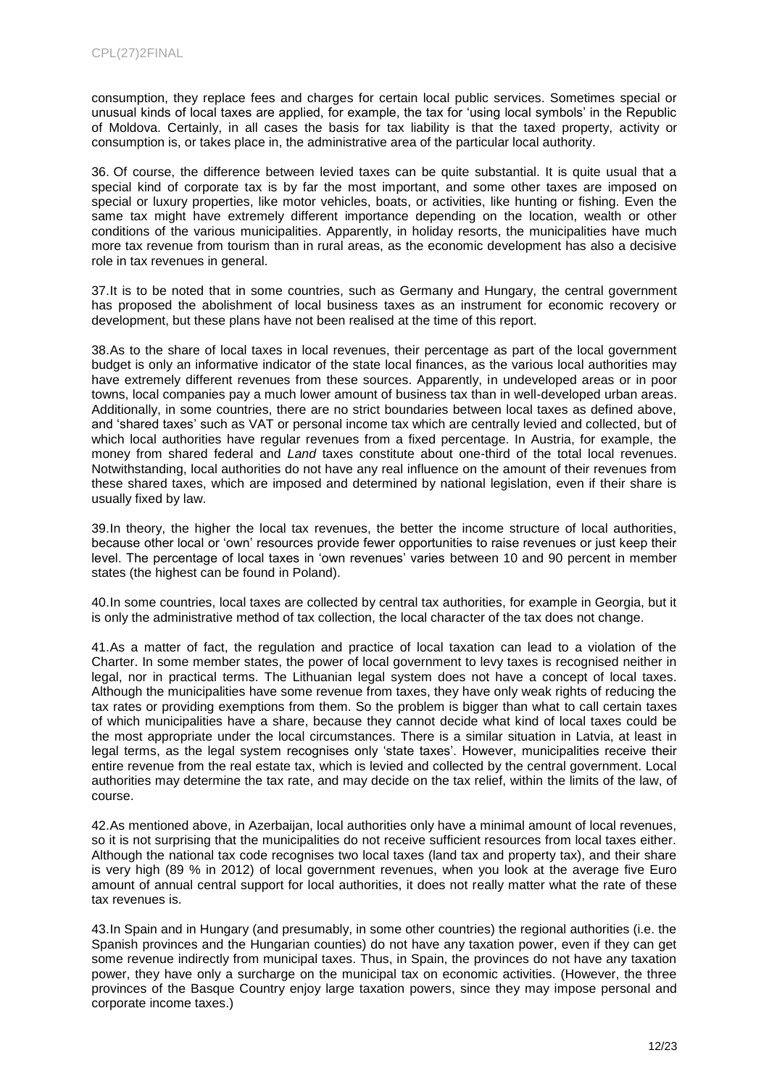consumption, they replace fees and charges for certain local public services. Sometimes special or unusual kinds of local taxes are applied, for example, the tax for 'using local symbols' in the Republic of Moldova. Certainly, in all cases the basis for tax liability is that the taxed property, activity or consumption is, or takes place in, the administrative area of the particular local authority.

36. Of course, the difference between levied taxes can be quite substantial. It is quite usual that a special kind of corporate tax is by far the most important, and some other taxes are imposed on special or luxury properties, like motor vehicles, boats, or activities, like hunting or fishing. Even the same tax might have extremely different importance depending on the location, wealth or other conditions of the various municipalities. Apparently, in holiday resorts, the municipalities have much more tax revenue from tourism than in rural areas, as the economic development has also a decisive role in tax revenues in general.

37.It is to be noted that in some countries, such as Germany and Hungary, the central government has proposed the abolishment of local business taxes as an instrument for economic recovery or development, but these plans have not been realised at the time of this report.

38.As to the share of local taxes in local revenues, their percentage as part of the local government budget is only an informative indicator of the state local finances, as the various local authorities may have extremely different revenues from these sources. Apparently, in undeveloped areas or in poor towns, local companies pay a much lower amount of business tax than in well-developed urban areas. Additionally, in some countries, there are no strict boundaries between local taxes as defined above, and 'shared taxes' such as VAT or personal income tax which are centrally levied and collected, but of which local authorities have regular revenues from a fixed percentage. In Austria, for example, the money from shared federal and *Land* taxes constitute about one-third of the total local revenues. Notwithstanding, local authorities do not have any real influence on the amount of their revenues from these shared taxes, which are imposed and determined by national legislation, even if their share is usually fixed by law.

39.In theory, the higher the local tax revenues, the better the income structure of local authorities, because other local or 'own' resources provide fewer opportunities to raise revenues or just keep their level. The percentage of local taxes in 'own revenues' varies between 10 and 90 percent in member states (the highest can be found in Poland).

40.In some countries, local taxes are collected by central tax authorities, for example in Georgia, but it is only the administrative method of tax collection, the local character of the tax does not change.

41.As a matter of fact, the regulation and practice of local taxation can lead to a violation of the Charter. In some member states, the power of local government to levy taxes is recognised neither in legal, nor in practical terms. The Lithuanian legal system does not have a concept of local taxes. Although the municipalities have some revenue from taxes, they have only weak rights of reducing the tax rates or providing exemptions from them. So the problem is bigger than what to call certain taxes of which municipalities have a share, because they cannot decide what kind of local taxes could be the most appropriate under the local circumstances. There is a similar situation in Latvia, at least in legal terms, as the legal system recognises only 'state taxes'. However, municipalities receive their entire revenue from the real estate tax, which is levied and collected by the central government. Local authorities may determine the tax rate, and may decide on the tax relief, within the limits of the law, of course.

42.As mentioned above, in Azerbaijan, local authorities only have a minimal amount of local revenues, so it is not surprising that the municipalities do not receive sufficient resources from local taxes either. Although the national tax code recognises two local taxes (land tax and property tax), and their share is very high (89 % in 2012) of local government revenues, when you look at the average five Euro amount of annual central support for local authorities, it does not really matter what the rate of these tax revenues is.

43.In Spain and in Hungary (and presumably, in some other countries) the regional authorities (i.e. the Spanish provinces and the Hungarian counties) do not have any taxation power, even if they can get some revenue indirectly from municipal taxes. Thus, in Spain, the provinces do not have any taxation power, they have only a surcharge on the municipal tax on economic activities. (However, the three provinces of the Basque Country enjoy large taxation powers, since they may impose personal and corporate income taxes.)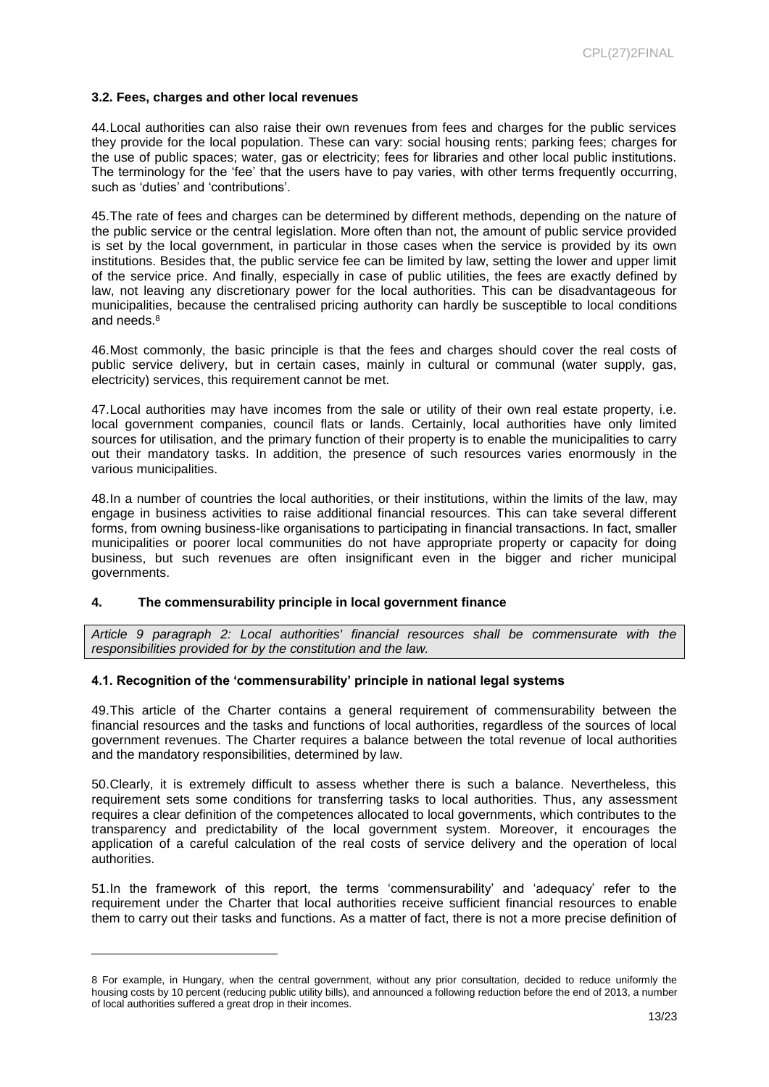#### **3.2. Fees, charges and other local revenues**

44.Local authorities can also raise their own revenues from fees and charges for the public services they provide for the local population. These can vary: social housing rents; parking fees; charges for the use of public spaces; water, gas or electricity; fees for libraries and other local public institutions. The terminology for the 'fee' that the users have to pay varies, with other terms frequently occurring, such as 'duties' and 'contributions'.

45.The rate of fees and charges can be determined by different methods, depending on the nature of the public service or the central legislation. More often than not, the amount of public service provided is set by the local government, in particular in those cases when the service is provided by its own institutions. Besides that, the public service fee can be limited by law, setting the lower and upper limit of the service price. And finally, especially in case of public utilities, the fees are exactly defined by law, not leaving any discretionary power for the local authorities. This can be disadvantageous for municipalities, because the centralised pricing authority can hardly be susceptible to local conditions and needs.<sup>8</sup>

46.Most commonly, the basic principle is that the fees and charges should cover the real costs of public service delivery, but in certain cases, mainly in cultural or communal (water supply, gas, electricity) services, this requirement cannot be met.

47.Local authorities may have incomes from the sale or utility of their own real estate property, i.e. local government companies, council flats or lands. Certainly, local authorities have only limited sources for utilisation, and the primary function of their property is to enable the municipalities to carry out their mandatory tasks. In addition, the presence of such resources varies enormously in the various municipalities.

48.In a number of countries the local authorities, or their institutions, within the limits of the law, may engage in business activities to raise additional financial resources. This can take several different forms, from owning business-like organisations to participating in financial transactions. In fact, smaller municipalities or poorer local communities do not have appropriate property or capacity for doing business, but such revenues are often insignificant even in the bigger and richer municipal governments.

#### **4. The commensurability principle in local government finance**

l

*Article 9 paragraph 2: Local authorities' financial resources shall be commensurate with the responsibilities provided for by the constitution and the law.* 

#### **4.1. Recognition of the 'commensurability' principle in national legal systems**

49.This article of the Charter contains a general requirement of commensurability between the financial resources and the tasks and functions of local authorities, regardless of the sources of local government revenues. The Charter requires a balance between the total revenue of local authorities and the mandatory responsibilities, determined by law.

50.Clearly, it is extremely difficult to assess whether there is such a balance. Nevertheless, this requirement sets some conditions for transferring tasks to local authorities. Thus, any assessment requires a clear definition of the competences allocated to local governments, which contributes to the transparency and predictability of the local government system. Moreover, it encourages the application of a careful calculation of the real costs of service delivery and the operation of local authorities.

51.In the framework of this report, the terms 'commensurability' and 'adequacy' refer to the requirement under the Charter that local authorities receive sufficient financial resources to enable them to carry out their tasks and functions. As a matter of fact, there is not a more precise definition of

<sup>8</sup> For example, in Hungary, when the central government, without any prior consultation, decided to reduce uniformly the housing costs by 10 percent (reducing public utility bills), and announced a following reduction before the end of 2013, a number of local authorities suffered a great drop in their incomes.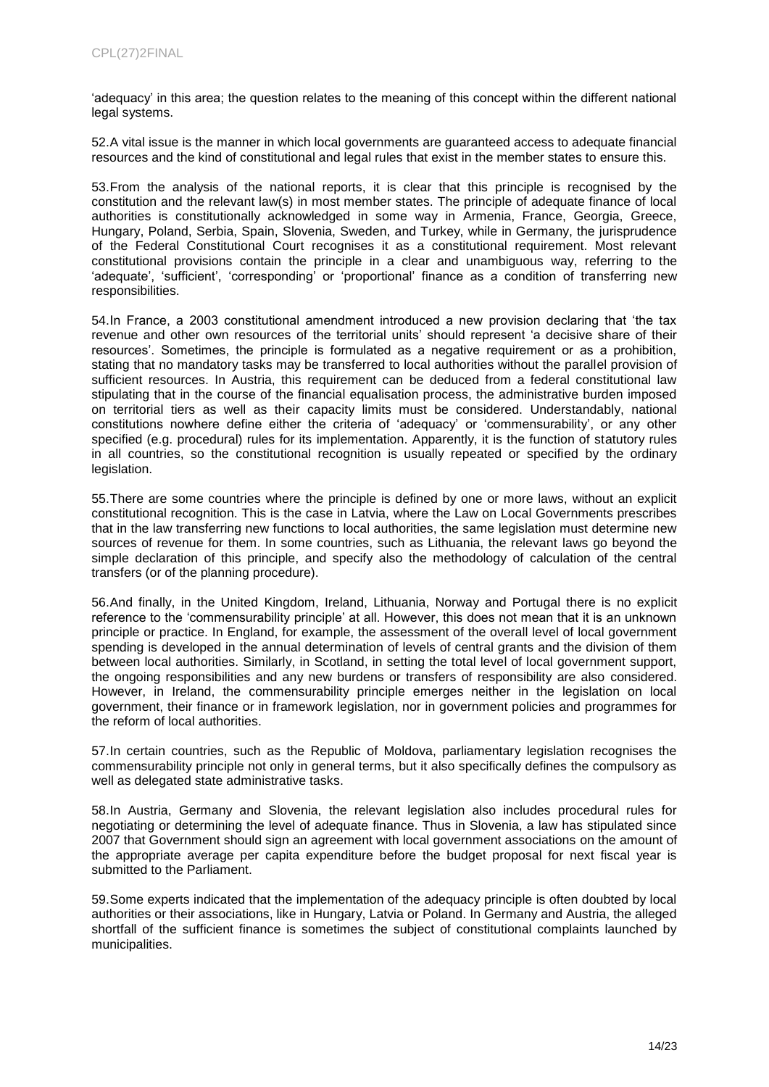'adequacy' in this area; the question relates to the meaning of this concept within the different national legal systems.

52.A vital issue is the manner in which local governments are guaranteed access to adequate financial resources and the kind of constitutional and legal rules that exist in the member states to ensure this.

53.From the analysis of the national reports, it is clear that this principle is recognised by the constitution and the relevant law(s) in most member states. The principle of adequate finance of local authorities is constitutionally acknowledged in some way in Armenia, France, Georgia, Greece, Hungary, Poland, Serbia, Spain, Slovenia, Sweden, and Turkey, while in Germany, the jurisprudence of the Federal Constitutional Court recognises it as a constitutional requirement. Most relevant constitutional provisions contain the principle in a clear and unambiguous way, referring to the 'adequate', 'sufficient', 'corresponding' or 'proportional' finance as a condition of transferring new responsibilities.

54.In France, a 2003 constitutional amendment introduced a new provision declaring that 'the tax revenue and other own resources of the territorial units' should represent 'a decisive share of their resources'. Sometimes, the principle is formulated as a negative requirement or as a prohibition, stating that no mandatory tasks may be transferred to local authorities without the parallel provision of sufficient resources. In Austria, this requirement can be deduced from a federal constitutional law stipulating that in the course of the financial equalisation process, the administrative burden imposed on territorial tiers as well as their capacity limits must be considered. Understandably, national constitutions nowhere define either the criteria of 'adequacy' or 'commensurability', or any other specified (e.g. procedural) rules for its implementation. Apparently, it is the function of statutory rules in all countries, so the constitutional recognition is usually repeated or specified by the ordinary legislation.

55.There are some countries where the principle is defined by one or more laws, without an explicit constitutional recognition. This is the case in Latvia, where the Law on Local Governments prescribes that in the law transferring new functions to local authorities, the same legislation must determine new sources of revenue for them. In some countries, such as Lithuania, the relevant laws go beyond the simple declaration of this principle, and specify also the methodology of calculation of the central transfers (or of the planning procedure).

56.And finally, in the United Kingdom, Ireland, Lithuania, Norway and Portugal there is no explicit reference to the 'commensurability principle' at all. However, this does not mean that it is an unknown principle or practice. In England, for example, the assessment of the overall level of local government spending is developed in the annual determination of levels of central grants and the division of them between local authorities. Similarly, in Scotland, in setting the total level of local government support, the ongoing responsibilities and any new burdens or transfers of responsibility are also considered. However, in Ireland, the commensurability principle emerges neither in the legislation on local government, their finance or in framework legislation, nor in government policies and programmes for the reform of local authorities.

57.In certain countries, such as the Republic of Moldova, parliamentary legislation recognises the commensurability principle not only in general terms, but it also specifically defines the compulsory as well as delegated state administrative tasks.

58.In Austria, Germany and Slovenia, the relevant legislation also includes procedural rules for negotiating or determining the level of adequate finance. Thus in Slovenia, a law has stipulated since 2007 that Government should sign an agreement with local government associations on the amount of the appropriate average per capita expenditure before the budget proposal for next fiscal year is submitted to the Parliament.

59.Some experts indicated that the implementation of the adequacy principle is often doubted by local authorities or their associations, like in Hungary, Latvia or Poland. In Germany and Austria, the alleged shortfall of the sufficient finance is sometimes the subject of constitutional complaints launched by municipalities.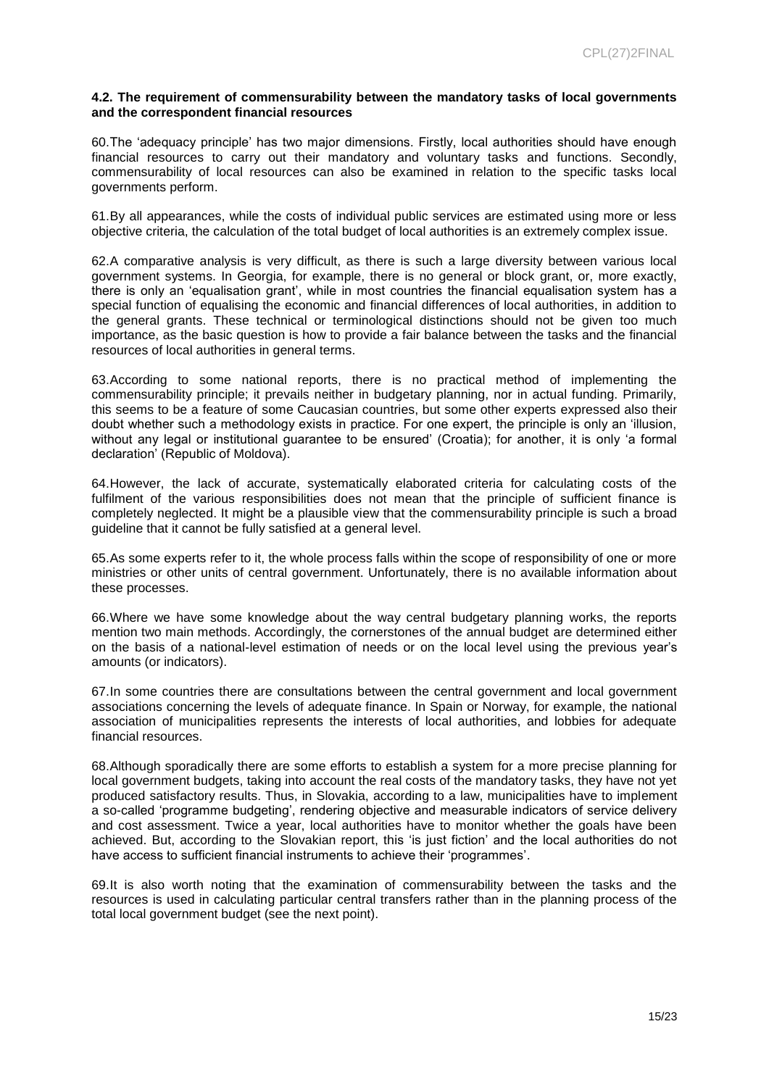#### **4.2. The requirement of commensurability between the mandatory tasks of local governments and the correspondent financial resources**

60.The 'adequacy principle' has two major dimensions. Firstly, local authorities should have enough financial resources to carry out their mandatory and voluntary tasks and functions. Secondly, commensurability of local resources can also be examined in relation to the specific tasks local governments perform.

61.By all appearances, while the costs of individual public services are estimated using more or less objective criteria, the calculation of the total budget of local authorities is an extremely complex issue.

62.A comparative analysis is very difficult, as there is such a large diversity between various local government systems. In Georgia, for example, there is no general or block grant, or, more exactly, there is only an 'equalisation grant', while in most countries the financial equalisation system has a special function of equalising the economic and financial differences of local authorities, in addition to the general grants. These technical or terminological distinctions should not be given too much importance, as the basic question is how to provide a fair balance between the tasks and the financial resources of local authorities in general terms.

63.According to some national reports, there is no practical method of implementing the commensurability principle; it prevails neither in budgetary planning, nor in actual funding. Primarily, this seems to be a feature of some Caucasian countries, but some other experts expressed also their doubt whether such a methodology exists in practice. For one expert, the principle is only an 'illusion, without any legal or institutional guarantee to be ensured' (Croatia); for another, it is only 'a formal declaration' (Republic of Moldova).

64.However, the lack of accurate, systematically elaborated criteria for calculating costs of the fulfilment of the various responsibilities does not mean that the principle of sufficient finance is completely neglected. It might be a plausible view that the commensurability principle is such a broad guideline that it cannot be fully satisfied at a general level.

65.As some experts refer to it, the whole process falls within the scope of responsibility of one or more ministries or other units of central government. Unfortunately, there is no available information about these processes.

66.Where we have some knowledge about the way central budgetary planning works, the reports mention two main methods. Accordingly, the cornerstones of the annual budget are determined either on the basis of a national-level estimation of needs or on the local level using the previous year's amounts (or indicators).

67.In some countries there are consultations between the central government and local government associations concerning the levels of adequate finance. In Spain or Norway, for example, the national association of municipalities represents the interests of local authorities, and lobbies for adequate financial resources.

68.Although sporadically there are some efforts to establish a system for a more precise planning for local government budgets, taking into account the real costs of the mandatory tasks, they have not yet produced satisfactory results. Thus, in Slovakia, according to a law, municipalities have to implement a so-called 'programme budgeting', rendering objective and measurable indicators of service delivery and cost assessment. Twice a year, local authorities have to monitor whether the goals have been achieved. But, according to the Slovakian report, this 'is just fiction' and the local authorities do not have access to sufficient financial instruments to achieve their 'programmes'.

69.It is also worth noting that the examination of commensurability between the tasks and the resources is used in calculating particular central transfers rather than in the planning process of the total local government budget (see the next point).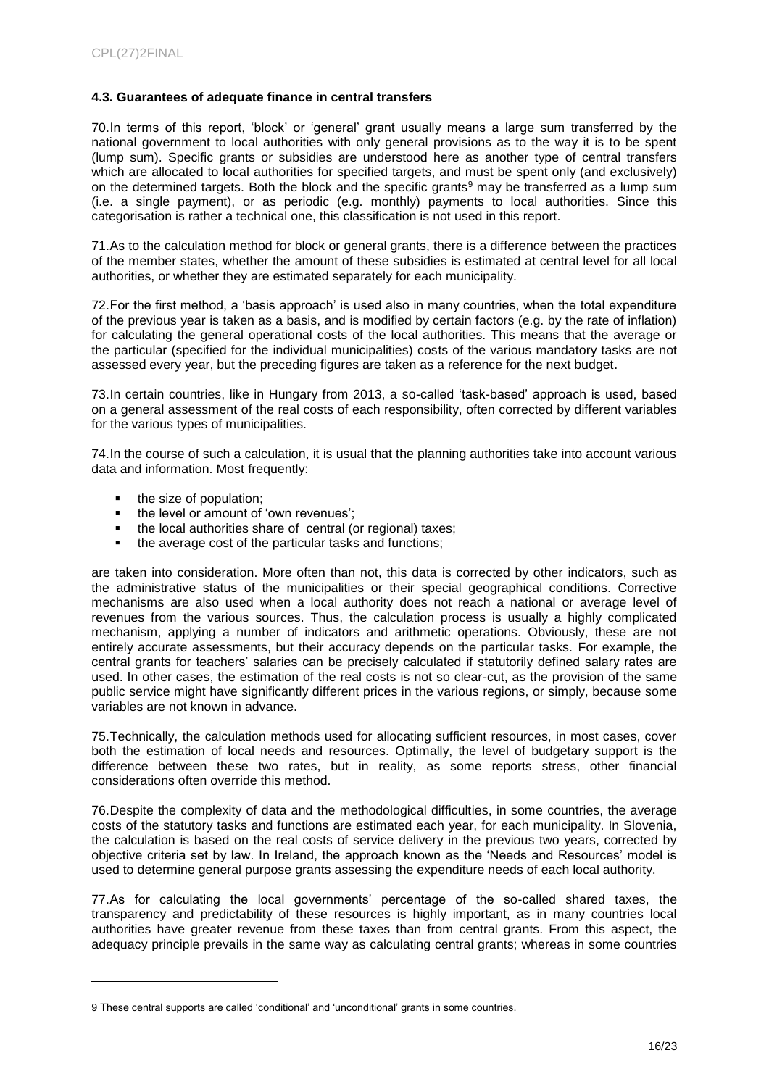#### **4.3. Guarantees of adequate finance in central transfers**

70.In terms of this report, 'block' or 'general' grant usually means a large sum transferred by the national government to local authorities with only general provisions as to the way it is to be spent (lump sum). Specific grants or subsidies are understood here as another type of central transfers which are allocated to local authorities for specified targets, and must be spent only (and exclusively) on the determined targets. Both the block and the specific grants<sup>9</sup> may be transferred as a lump sum (i.e. a single payment), or as periodic (e.g. monthly) payments to local authorities. Since this categorisation is rather a technical one, this classification is not used in this report.

71.As to the calculation method for block or general grants, there is a difference between the practices of the member states, whether the amount of these subsidies is estimated at central level for all local authorities, or whether they are estimated separately for each municipality.

72.For the first method, a 'basis approach' is used also in many countries, when the total expenditure of the previous year is taken as a basis, and is modified by certain factors (e.g. by the rate of inflation) for calculating the general operational costs of the local authorities. This means that the average or the particular (specified for the individual municipalities) costs of the various mandatory tasks are not assessed every year, but the preceding figures are taken as a reference for the next budget.

73.In certain countries, like in Hungary from 2013, a so-called 'task-based' approach is used, based on a general assessment of the real costs of each responsibility, often corrected by different variables for the various types of municipalities.

74.In the course of such a calculation, it is usual that the planning authorities take into account various data and information. Most frequently:

 $\bullet$  the size of population;<br> $\bullet$  the level or amount of

l

- the level or amount of 'own revenues';
- $\bullet$  the local authorities share of central (or regional) taxes;<br> $\bullet$  the average cost of the particular tasks and functions;
- the average cost of the particular tasks and functions;

are taken into consideration. More often than not, this data is corrected by other indicators, such as the administrative status of the municipalities or their special geographical conditions. Corrective mechanisms are also used when a local authority does not reach a national or average level of revenues from the various sources. Thus, the calculation process is usually a highly complicated mechanism, applying a number of indicators and arithmetic operations. Obviously, these are not entirely accurate assessments, but their accuracy depends on the particular tasks. For example, the central grants for teachers' salaries can be precisely calculated if statutorily defined salary rates are used. In other cases, the estimation of the real costs is not so clear-cut, as the provision of the same public service might have significantly different prices in the various regions, or simply, because some variables are not known in advance.

75.Technically, the calculation methods used for allocating sufficient resources, in most cases, cover both the estimation of local needs and resources. Optimally, the level of budgetary support is the difference between these two rates, but in reality, as some reports stress, other financial considerations often override this method.

76.Despite the complexity of data and the methodological difficulties, in some countries, the average costs of the statutory tasks and functions are estimated each year, for each municipality. In Slovenia, the calculation is based on the real costs of service delivery in the previous two years, corrected by objective criteria set by law. In Ireland, the approach known as the 'Needs and Resources' model is used to determine general purpose grants assessing the expenditure needs of each local authority.

77.As for calculating the local governments' percentage of the so-called shared taxes, the transparency and predictability of these resources is highly important, as in many countries local authorities have greater revenue from these taxes than from central grants. From this aspect, the adequacy principle prevails in the same way as calculating central grants; whereas in some countries

<sup>9</sup> These central supports are called 'conditional' and 'unconditional' grants in some countries.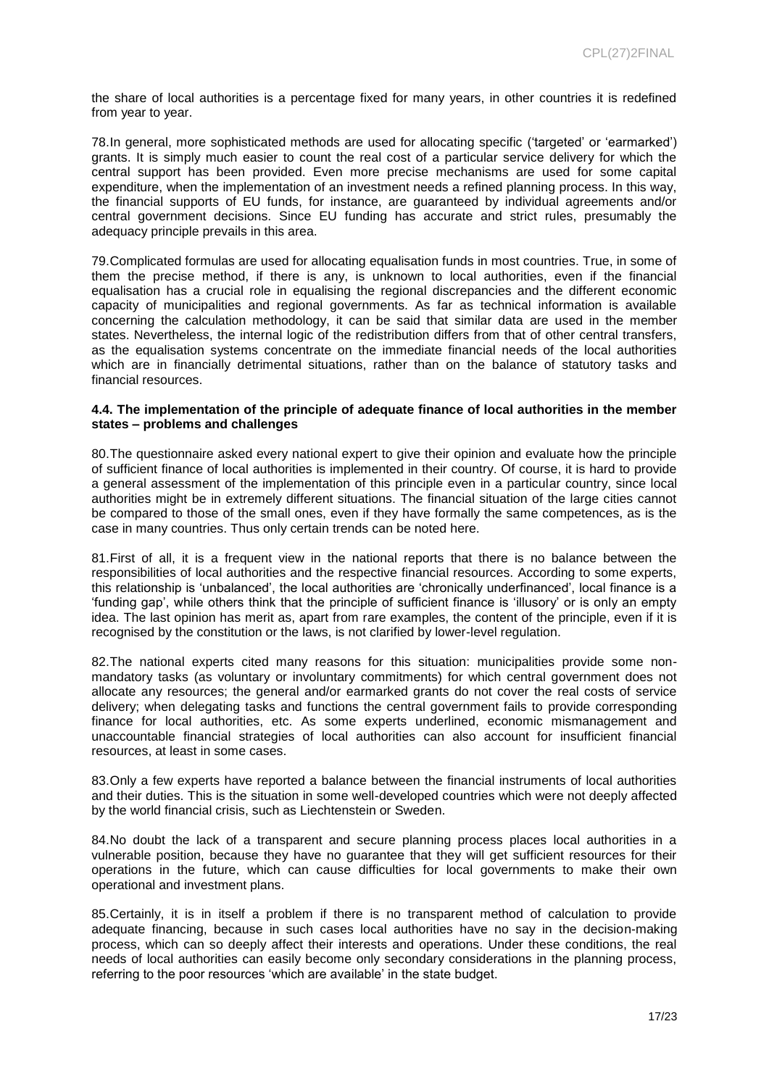the share of local authorities is a percentage fixed for many years, in other countries it is redefined from year to year.

78.In general, more sophisticated methods are used for allocating specific ('targeted' or 'earmarked') grants. It is simply much easier to count the real cost of a particular service delivery for which the central support has been provided. Even more precise mechanisms are used for some capital expenditure, when the implementation of an investment needs a refined planning process. In this way, the financial supports of EU funds, for instance, are guaranteed by individual agreements and/or central government decisions. Since EU funding has accurate and strict rules, presumably the adequacy principle prevails in this area.

79.Complicated formulas are used for allocating equalisation funds in most countries. True, in some of them the precise method, if there is any, is unknown to local authorities, even if the financial equalisation has a crucial role in equalising the regional discrepancies and the different economic capacity of municipalities and regional governments. As far as technical information is available concerning the calculation methodology, it can be said that similar data are used in the member states. Nevertheless, the internal logic of the redistribution differs from that of other central transfers, as the equalisation systems concentrate on the immediate financial needs of the local authorities which are in financially detrimental situations, rather than on the balance of statutory tasks and financial resources.

#### **4.4. The implementation of the principle of adequate finance of local authorities in the member states – problems and challenges**

80.The questionnaire asked every national expert to give their opinion and evaluate how the principle of sufficient finance of local authorities is implemented in their country. Of course, it is hard to provide a general assessment of the implementation of this principle even in a particular country, since local authorities might be in extremely different situations. The financial situation of the large cities cannot be compared to those of the small ones, even if they have formally the same competences, as is the case in many countries. Thus only certain trends can be noted here.

81.First of all, it is a frequent view in the national reports that there is no balance between the responsibilities of local authorities and the respective financial resources. According to some experts, this relationship is 'unbalanced', the local authorities are 'chronically underfinanced', local finance is a 'funding gap', while others think that the principle of sufficient finance is 'illusory' or is only an empty idea. The last opinion has merit as, apart from rare examples, the content of the principle, even if it is recognised by the constitution or the laws, is not clarified by lower-level regulation.

82.The national experts cited many reasons for this situation: municipalities provide some nonmandatory tasks (as voluntary or involuntary commitments) for which central government does not allocate any resources; the general and/or earmarked grants do not cover the real costs of service delivery; when delegating tasks and functions the central government fails to provide corresponding finance for local authorities, etc. As some experts underlined, economic mismanagement and unaccountable financial strategies of local authorities can also account for insufficient financial resources, at least in some cases.

83.Only a few experts have reported a balance between the financial instruments of local authorities and their duties. This is the situation in some well-developed countries which were not deeply affected by the world financial crisis, such as Liechtenstein or Sweden.

84.No doubt the lack of a transparent and secure planning process places local authorities in a vulnerable position, because they have no guarantee that they will get sufficient resources for their operations in the future, which can cause difficulties for local governments to make their own operational and investment plans.

85.Certainly, it is in itself a problem if there is no transparent method of calculation to provide adequate financing, because in such cases local authorities have no say in the decision-making process, which can so deeply affect their interests and operations. Under these conditions, the real needs of local authorities can easily become only secondary considerations in the planning process, referring to the poor resources 'which are available' in the state budget.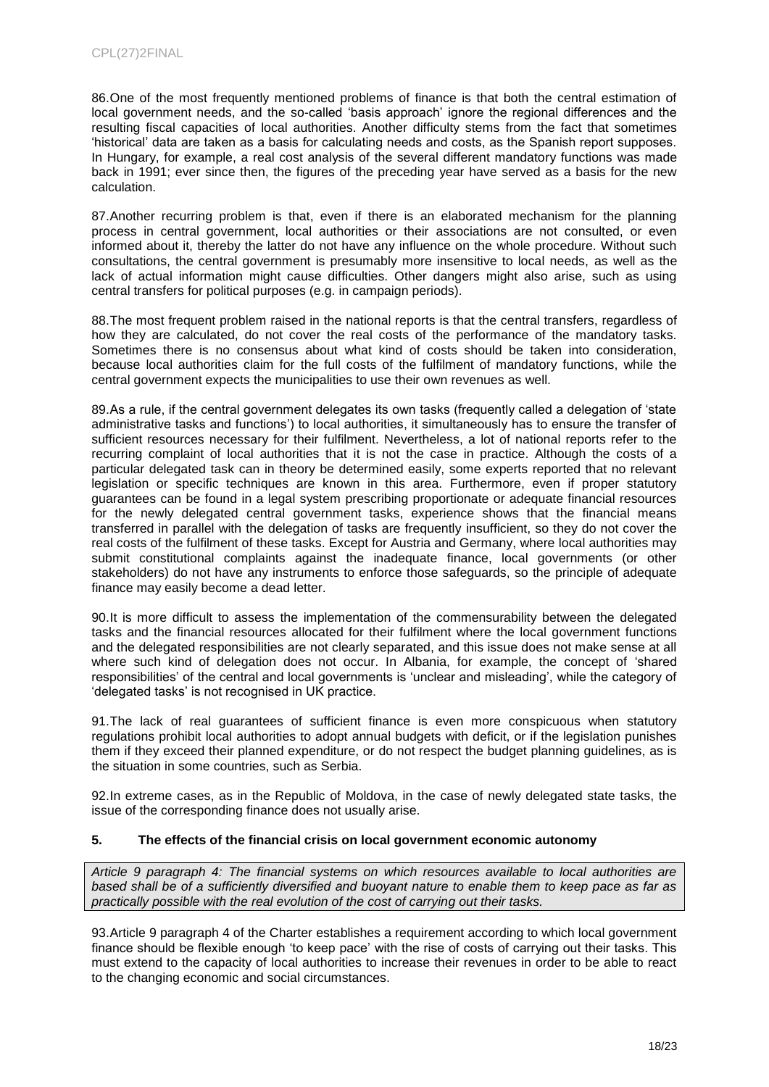86.One of the most frequently mentioned problems of finance is that both the central estimation of local government needs, and the so-called 'basis approach' ignore the regional differences and the resulting fiscal capacities of local authorities. Another difficulty stems from the fact that sometimes 'historical' data are taken as a basis for calculating needs and costs, as the Spanish report supposes. In Hungary, for example, a real cost analysis of the several different mandatory functions was made back in 1991; ever since then, the figures of the preceding year have served as a basis for the new calculation.

87.Another recurring problem is that, even if there is an elaborated mechanism for the planning process in central government, local authorities or their associations are not consulted, or even informed about it, thereby the latter do not have any influence on the whole procedure. Without such consultations, the central government is presumably more insensitive to local needs, as well as the lack of actual information might cause difficulties. Other dangers might also arise, such as using central transfers for political purposes (e.g. in campaign periods).

88.The most frequent problem raised in the national reports is that the central transfers, regardless of how they are calculated, do not cover the real costs of the performance of the mandatory tasks. Sometimes there is no consensus about what kind of costs should be taken into consideration, because local authorities claim for the full costs of the fulfilment of mandatory functions, while the central government expects the municipalities to use their own revenues as well.

89.As a rule, if the central government delegates its own tasks (frequently called a delegation of 'state administrative tasks and functions') to local authorities, it simultaneously has to ensure the transfer of sufficient resources necessary for their fulfilment. Nevertheless, a lot of national reports refer to the recurring complaint of local authorities that it is not the case in practice. Although the costs of a particular delegated task can in theory be determined easily, some experts reported that no relevant legislation or specific techniques are known in this area. Furthermore, even if proper statutory guarantees can be found in a legal system prescribing proportionate or adequate financial resources for the newly delegated central government tasks, experience shows that the financial means transferred in parallel with the delegation of tasks are frequently insufficient, so they do not cover the real costs of the fulfilment of these tasks. Except for Austria and Germany, where local authorities may submit constitutional complaints against the inadequate finance, local governments (or other stakeholders) do not have any instruments to enforce those safeguards, so the principle of adequate finance may easily become a dead letter.

90.It is more difficult to assess the implementation of the commensurability between the delegated tasks and the financial resources allocated for their fulfilment where the local government functions and the delegated responsibilities are not clearly separated, and this issue does not make sense at all where such kind of delegation does not occur. In Albania, for example, the concept of 'shared responsibilities' of the central and local governments is 'unclear and misleading', while the category of 'delegated tasks' is not recognised in UK practice.

91.The lack of real guarantees of sufficient finance is even more conspicuous when statutory regulations prohibit local authorities to adopt annual budgets with deficit, or if the legislation punishes them if they exceed their planned expenditure, or do not respect the budget planning guidelines, as is the situation in some countries, such as Serbia.

92.In extreme cases, as in the Republic of Moldova, in the case of newly delegated state tasks, the issue of the corresponding finance does not usually arise.

### **5. The effects of the financial crisis on local government economic autonomy**

*Article 9 paragraph 4: The financial systems on which resources available to local authorities are based shall be of a sufficiently diversified and buoyant nature to enable them to keep pace as far as practically possible with the real evolution of the cost of carrying out their tasks.*

93.Article 9 paragraph 4 of the Charter establishes a requirement according to which local government finance should be flexible enough 'to keep pace' with the rise of costs of carrying out their tasks. This must extend to the capacity of local authorities to increase their revenues in order to be able to react to the changing economic and social circumstances.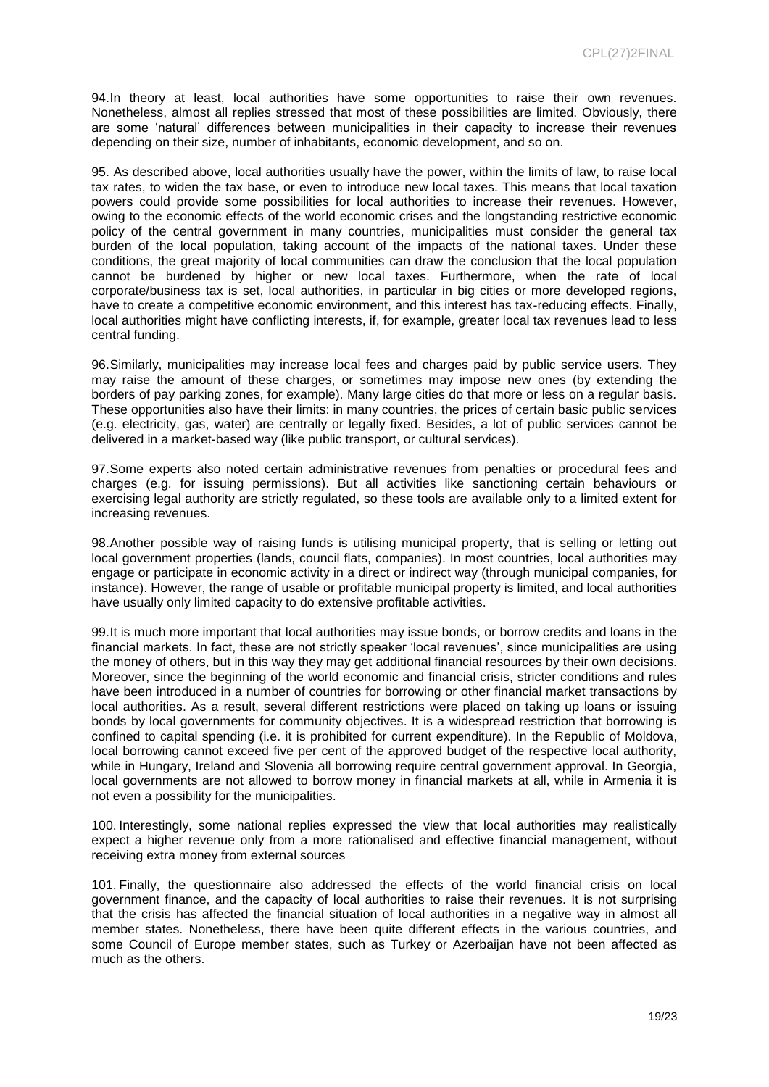94.In theory at least, local authorities have some opportunities to raise their own revenues. Nonetheless, almost all replies stressed that most of these possibilities are limited. Obviously, there are some 'natural' differences between municipalities in their capacity to increase their revenues depending on their size, number of inhabitants, economic development, and so on.

95. As described above, local authorities usually have the power, within the limits of law, to raise local tax rates, to widen the tax base, or even to introduce new local taxes. This means that local taxation powers could provide some possibilities for local authorities to increase their revenues. However, owing to the economic effects of the world economic crises and the longstanding restrictive economic policy of the central government in many countries, municipalities must consider the general tax burden of the local population, taking account of the impacts of the national taxes. Under these conditions, the great majority of local communities can draw the conclusion that the local population cannot be burdened by higher or new local taxes. Furthermore, when the rate of local corporate/business tax is set, local authorities, in particular in big cities or more developed regions. have to create a competitive economic environment, and this interest has tax-reducing effects. Finally, local authorities might have conflicting interests, if, for example, greater local tax revenues lead to less central funding.

96.Similarly, municipalities may increase local fees and charges paid by public service users. They may raise the amount of these charges, or sometimes may impose new ones (by extending the borders of pay parking zones, for example). Many large cities do that more or less on a regular basis. These opportunities also have their limits: in many countries, the prices of certain basic public services (e.g. electricity, gas, water) are centrally or legally fixed. Besides, a lot of public services cannot be delivered in a market-based way (like public transport, or cultural services).

97.Some experts also noted certain administrative revenues from penalties or procedural fees and charges (e.g. for issuing permissions). But all activities like sanctioning certain behaviours or exercising legal authority are strictly regulated, so these tools are available only to a limited extent for increasing revenues.

98.Another possible way of raising funds is utilising municipal property, that is selling or letting out local government properties (lands, council flats, companies). In most countries, local authorities may engage or participate in economic activity in a direct or indirect way (through municipal companies, for instance). However, the range of usable or profitable municipal property is limited, and local authorities have usually only limited capacity to do extensive profitable activities.

99.It is much more important that local authorities may issue bonds, or borrow credits and loans in the financial markets. In fact, these are not strictly speaker 'local revenues', since municipalities are using the money of others, but in this way they may get additional financial resources by their own decisions. Moreover, since the beginning of the world economic and financial crisis, stricter conditions and rules have been introduced in a number of countries for borrowing or other financial market transactions by local authorities. As a result, several different restrictions were placed on taking up loans or issuing bonds by local governments for community objectives. It is a widespread restriction that borrowing is confined to capital spending (i.e. it is prohibited for current expenditure). In the Republic of Moldova, local borrowing cannot exceed five per cent of the approved budget of the respective local authority, while in Hungary, Ireland and Slovenia all borrowing require central government approval. In Georgia, local governments are not allowed to borrow money in financial markets at all, while in Armenia it is not even a possibility for the municipalities.

100. Interestingly, some national replies expressed the view that local authorities may realistically expect a higher revenue only from a more rationalised and effective financial management, without receiving extra money from external sources

101. Finally, the questionnaire also addressed the effects of the world financial crisis on local government finance, and the capacity of local authorities to raise their revenues. It is not surprising that the crisis has affected the financial situation of local authorities in a negative way in almost all member states. Nonetheless, there have been quite different effects in the various countries, and some Council of Europe member states, such as Turkey or Azerbaijan have not been affected as much as the others.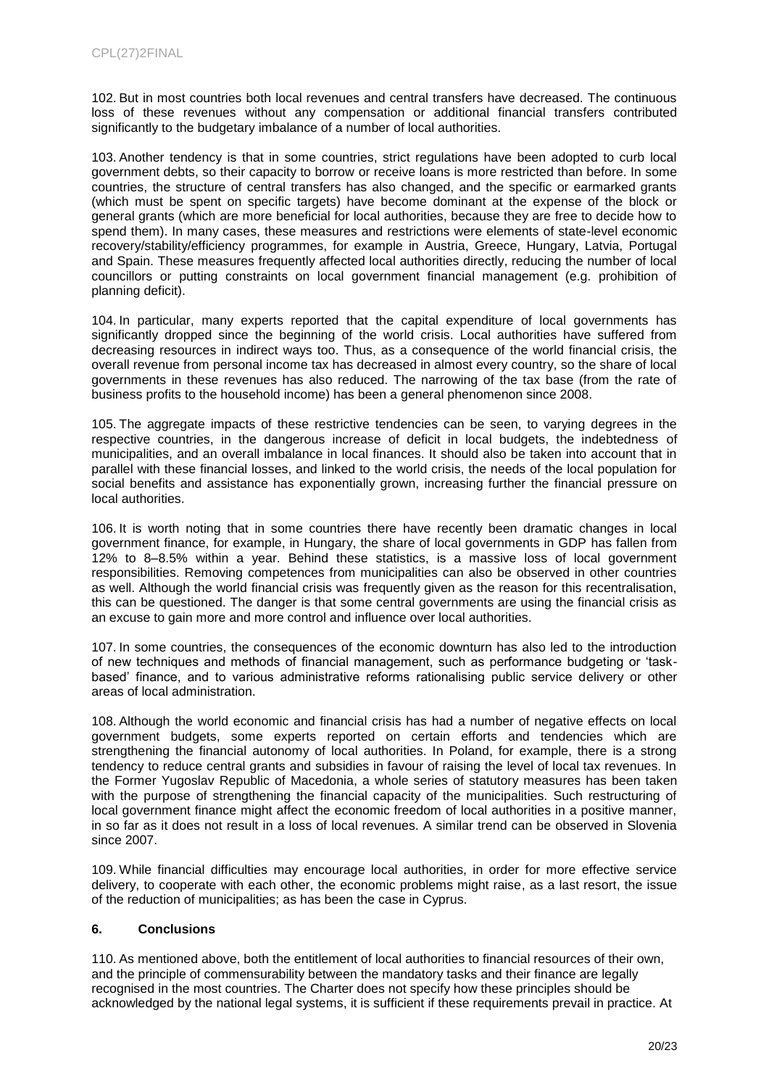102. But in most countries both local revenues and central transfers have decreased. The continuous loss of these revenues without any compensation or additional financial transfers contributed significantly to the budgetary imbalance of a number of local authorities.

103. Another tendency is that in some countries, strict regulations have been adopted to curb local government debts, so their capacity to borrow or receive loans is more restricted than before. In some countries, the structure of central transfers has also changed, and the specific or earmarked grants (which must be spent on specific targets) have become dominant at the expense of the block or general grants (which are more beneficial for local authorities, because they are free to decide how to spend them). In many cases, these measures and restrictions were elements of state-level economic recovery/stability/efficiency programmes, for example in Austria, Greece, Hungary, Latvia, Portugal and Spain. These measures frequently affected local authorities directly, reducing the number of local councillors or putting constraints on local government financial management (e.g. prohibition of planning deficit).

104. In particular, many experts reported that the capital expenditure of local governments has significantly dropped since the beginning of the world crisis. Local authorities have suffered from decreasing resources in indirect ways too. Thus, as a consequence of the world financial crisis, the overall revenue from personal income tax has decreased in almost every country, so the share of local governments in these revenues has also reduced. The narrowing of the tax base (from the rate of business profits to the household income) has been a general phenomenon since 2008.

105. The aggregate impacts of these restrictive tendencies can be seen, to varying degrees in the respective countries, in the dangerous increase of deficit in local budgets, the indebtedness of municipalities, and an overall imbalance in local finances. It should also be taken into account that in parallel with these financial losses, and linked to the world crisis, the needs of the local population for social benefits and assistance has exponentially grown, increasing further the financial pressure on local authorities.

106. It is worth noting that in some countries there have recently been dramatic changes in local government finance, for example, in Hungary, the share of local governments in GDP has fallen from 12% to 8–8.5% within a year. Behind these statistics, is a massive loss of local government responsibilities. Removing competences from municipalities can also be observed in other countries as well. Although the world financial crisis was frequently given as the reason for this recentralisation, this can be questioned. The danger is that some central governments are using the financial crisis as an excuse to gain more and more control and influence over local authorities.

107. In some countries, the consequences of the economic downturn has also led to the introduction of new techniques and methods of financial management, such as performance budgeting or 'taskbased' finance, and to various administrative reforms rationalising public service delivery or other areas of local administration.

108. Although the world economic and financial crisis has had a number of negative effects on local government budgets, some experts reported on certain efforts and tendencies which are strengthening the financial autonomy of local authorities. In Poland, for example, there is a strong tendency to reduce central grants and subsidies in favour of raising the level of local tax revenues. In the Former Yugoslav Republic of Macedonia, a whole series of statutory measures has been taken with the purpose of strengthening the financial capacity of the municipalities. Such restructuring of local government finance might affect the economic freedom of local authorities in a positive manner, in so far as it does not result in a loss of local revenues. A similar trend can be observed in Slovenia since 2007.

109. While financial difficulties may encourage local authorities, in order for more effective service delivery, to cooperate with each other, the economic problems might raise, as a last resort, the issue of the reduction of municipalities; as has been the case in Cyprus.

### **6. Conclusions**

110. As mentioned above, both the entitlement of local authorities to financial resources of their own, and the principle of commensurability between the mandatory tasks and their finance are legally recognised in the most countries. The Charter does not specify how these principles should be acknowledged by the national legal systems, it is sufficient if these requirements prevail in practice. At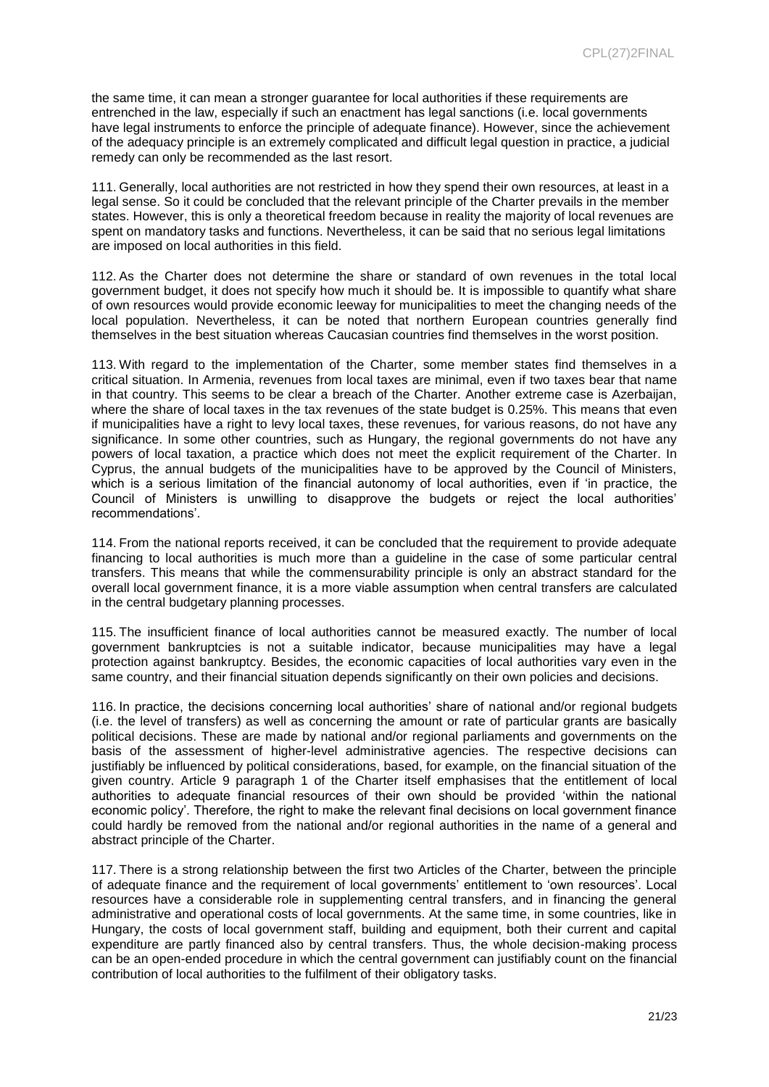the same time, it can mean a stronger guarantee for local authorities if these requirements are entrenched in the law, especially if such an enactment has legal sanctions (i.e. local governments have legal instruments to enforce the principle of adequate finance). However, since the achievement of the adequacy principle is an extremely complicated and difficult legal question in practice, a judicial remedy can only be recommended as the last resort.

111. Generally, local authorities are not restricted in how they spend their own resources, at least in a legal sense. So it could be concluded that the relevant principle of the Charter prevails in the member states. However, this is only a theoretical freedom because in reality the majority of local revenues are spent on mandatory tasks and functions. Nevertheless, it can be said that no serious legal limitations are imposed on local authorities in this field.

112. As the Charter does not determine the share or standard of own revenues in the total local government budget, it does not specify how much it should be. It is impossible to quantify what share of own resources would provide economic leeway for municipalities to meet the changing needs of the local population. Nevertheless, it can be noted that northern European countries generally find themselves in the best situation whereas Caucasian countries find themselves in the worst position.

113. With regard to the implementation of the Charter, some member states find themselves in a critical situation. In Armenia, revenues from local taxes are minimal, even if two taxes bear that name in that country. This seems to be clear a breach of the Charter. Another extreme case is Azerbaijan, where the share of local taxes in the tax revenues of the state budget is 0.25%. This means that even if municipalities have a right to levy local taxes, these revenues, for various reasons, do not have any significance. In some other countries, such as Hungary, the regional governments do not have any powers of local taxation, a practice which does not meet the explicit requirement of the Charter. In Cyprus, the annual budgets of the municipalities have to be approved by the Council of Ministers, which is a serious limitation of the financial autonomy of local authorities, even if 'in practice, the Council of Ministers is unwilling to disapprove the budgets or reject the local authorities' recommendations'.

114. From the national reports received, it can be concluded that the requirement to provide adequate financing to local authorities is much more than a guideline in the case of some particular central transfers. This means that while the commensurability principle is only an abstract standard for the overall local government finance, it is a more viable assumption when central transfers are calculated in the central budgetary planning processes.

115. The insufficient finance of local authorities cannot be measured exactly. The number of local government bankruptcies is not a suitable indicator, because municipalities may have a legal protection against bankruptcy. Besides, the economic capacities of local authorities vary even in the same country, and their financial situation depends significantly on their own policies and decisions.

116. In practice, the decisions concerning local authorities' share of national and/or regional budgets (i.e. the level of transfers) as well as concerning the amount or rate of particular grants are basically political decisions. These are made by national and/or regional parliaments and governments on the basis of the assessment of higher-level administrative agencies. The respective decisions can justifiably be influenced by political considerations, based, for example, on the financial situation of the given country. Article 9 paragraph 1 of the Charter itself emphasises that the entitlement of local authorities to adequate financial resources of their own should be provided 'within the national economic policy'. Therefore, the right to make the relevant final decisions on local government finance could hardly be removed from the national and/or regional authorities in the name of a general and abstract principle of the Charter.

117. There is a strong relationship between the first two Articles of the Charter, between the principle of adequate finance and the requirement of local governments' entitlement to 'own resources'. Local resources have a considerable role in supplementing central transfers, and in financing the general administrative and operational costs of local governments. At the same time, in some countries, like in Hungary, the costs of local government staff, building and equipment, both their current and capital expenditure are partly financed also by central transfers. Thus, the whole decision-making process can be an open-ended procedure in which the central government can justifiably count on the financial contribution of local authorities to the fulfilment of their obligatory tasks.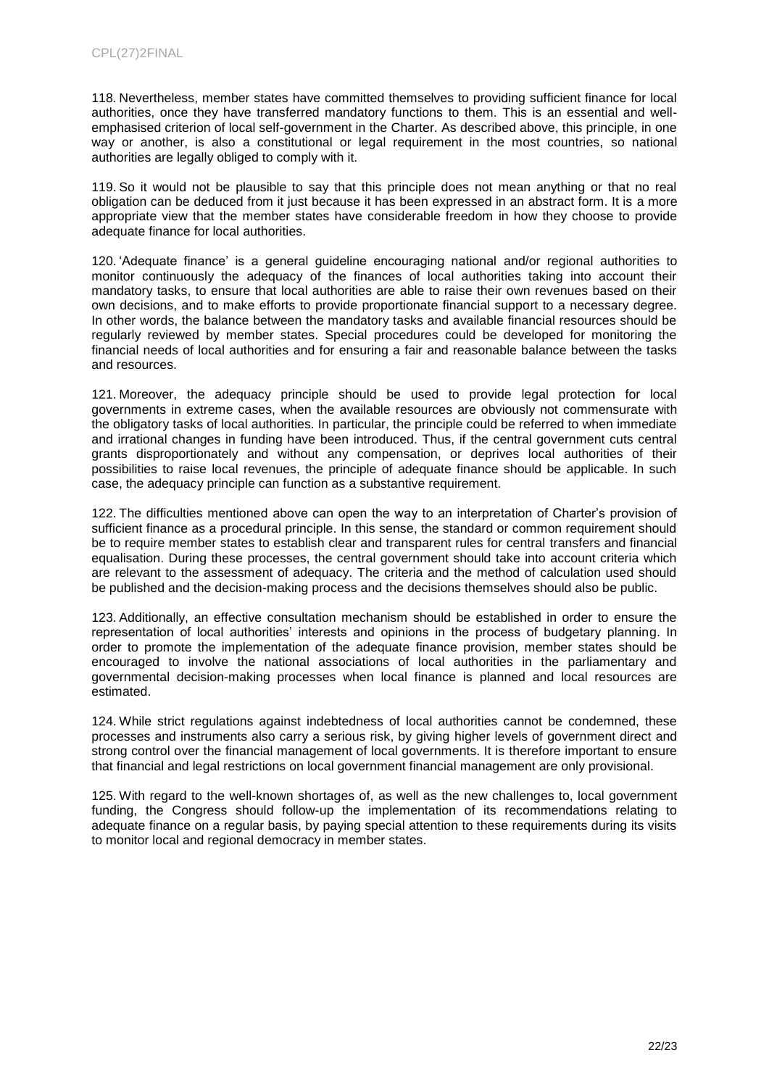118. Nevertheless, member states have committed themselves to providing sufficient finance for local authorities, once they have transferred mandatory functions to them. This is an essential and wellemphasised criterion of local self-government in the Charter. As described above, this principle, in one way or another, is also a constitutional or legal requirement in the most countries, so national authorities are legally obliged to comply with it.

119. So it would not be plausible to say that this principle does not mean anything or that no real obligation can be deduced from it just because it has been expressed in an abstract form. It is a more appropriate view that the member states have considerable freedom in how they choose to provide adequate finance for local authorities.

120. 'Adequate finance' is a general guideline encouraging national and/or regional authorities to monitor continuously the adequacy of the finances of local authorities taking into account their mandatory tasks, to ensure that local authorities are able to raise their own revenues based on their own decisions, and to make efforts to provide proportionate financial support to a necessary degree. In other words, the balance between the mandatory tasks and available financial resources should be regularly reviewed by member states. Special procedures could be developed for monitoring the financial needs of local authorities and for ensuring a fair and reasonable balance between the tasks and resources.

121. Moreover, the adequacy principle should be used to provide legal protection for local governments in extreme cases, when the available resources are obviously not commensurate with the obligatory tasks of local authorities. In particular, the principle could be referred to when immediate and irrational changes in funding have been introduced. Thus, if the central government cuts central grants disproportionately and without any compensation, or deprives local authorities of their possibilities to raise local revenues, the principle of adequate finance should be applicable. In such case, the adequacy principle can function as a substantive requirement.

122. The difficulties mentioned above can open the way to an interpretation of Charter's provision of sufficient finance as a procedural principle. In this sense, the standard or common requirement should be to require member states to establish clear and transparent rules for central transfers and financial equalisation. During these processes, the central government should take into account criteria which are relevant to the assessment of adequacy. The criteria and the method of calculation used should be published and the decision-making process and the decisions themselves should also be public.

123. Additionally, an effective consultation mechanism should be established in order to ensure the representation of local authorities' interests and opinions in the process of budgetary planning. In order to promote the implementation of the adequate finance provision, member states should be encouraged to involve the national associations of local authorities in the parliamentary and governmental decision-making processes when local finance is planned and local resources are estimated.

124. While strict regulations against indebtedness of local authorities cannot be condemned, these processes and instruments also carry a serious risk, by giving higher levels of government direct and strong control over the financial management of local governments. It is therefore important to ensure that financial and legal restrictions on local government financial management are only provisional.

125. With regard to the well-known shortages of, as well as the new challenges to, local government funding, the Congress should follow-up the implementation of its recommendations relating to adequate finance on a regular basis, by paying special attention to these requirements during its visits to monitor local and regional democracy in member states.